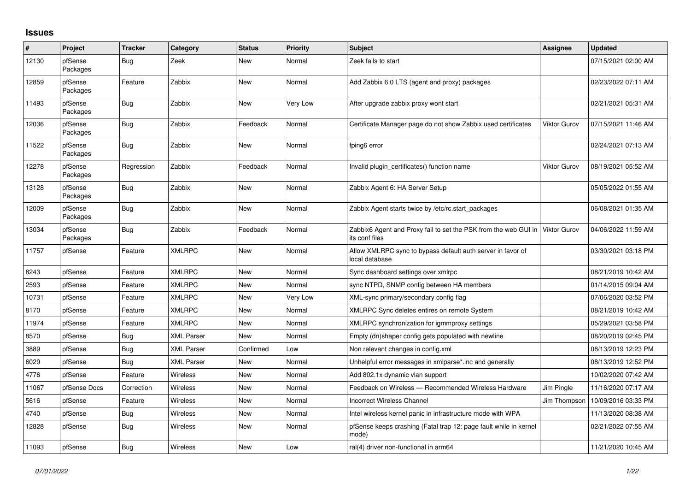## **Issues**

| #     | Project             | <b>Tracker</b> | Category          | <b>Status</b> | <b>Priority</b> | <b>Subject</b>                                                                    | Assignee            | <b>Updated</b>      |
|-------|---------------------|----------------|-------------------|---------------|-----------------|-----------------------------------------------------------------------------------|---------------------|---------------------|
| 12130 | pfSense<br>Packages | Bug            | Zeek              | New           | Normal          | Zeek fails to start                                                               |                     | 07/15/2021 02:00 AM |
| 12859 | pfSense<br>Packages | Feature        | Zabbix            | New           | Normal          | Add Zabbix 6.0 LTS (agent and proxy) packages                                     |                     | 02/23/2022 07:11 AM |
| 11493 | pfSense<br>Packages | Bug            | Zabbix            | <b>New</b>    | Very Low        | After upgrade zabbix proxy wont start                                             |                     | 02/21/2021 05:31 AM |
| 12036 | pfSense<br>Packages | Bug            | Zabbix            | Feedback      | Normal          | Certificate Manager page do not show Zabbix used certificates                     | <b>Viktor Gurov</b> | 07/15/2021 11:46 AM |
| 11522 | pfSense<br>Packages | Bug            | Zabbix            | New           | Normal          | fping6 error                                                                      |                     | 02/24/2021 07:13 AM |
| 12278 | pfSense<br>Packages | Regression     | Zabbix            | Feedback      | Normal          | Invalid plugin certificates() function name                                       | <b>Viktor Gurov</b> | 08/19/2021 05:52 AM |
| 13128 | pfSense<br>Packages | Bug            | Zabbix            | New           | Normal          | Zabbix Agent 6: HA Server Setup                                                   |                     | 05/05/2022 01:55 AM |
| 12009 | pfSense<br>Packages | <b>Bug</b>     | Zabbix            | New           | Normal          | Zabbix Agent starts twice by /etc/rc.start packages                               |                     | 06/08/2021 01:35 AM |
| 13034 | pfSense<br>Packages | Bug            | Zabbix            | Feedback      | Normal          | Zabbix6 Agent and Proxy fail to set the PSK from the web GUI in<br>its conf files | Viktor Gurov        | 04/06/2022 11:59 AM |
| 11757 | pfSense             | Feature        | <b>XMLRPC</b>     | New           | Normal          | Allow XMLRPC sync to bypass default auth server in favor of<br>local database     |                     | 03/30/2021 03:18 PM |
| 8243  | pfSense             | Feature        | <b>XMLRPC</b>     | <b>New</b>    | Normal          | Sync dashboard settings over xmlrpc                                               |                     | 08/21/2019 10:42 AM |
| 2593  | pfSense             | Feature        | <b>XMLRPC</b>     | <b>New</b>    | Normal          | sync NTPD, SNMP config between HA members                                         |                     | 01/14/2015 09:04 AM |
| 10731 | pfSense             | Feature        | <b>XMLRPC</b>     | <b>New</b>    | Very Low        | XML-sync primary/secondary config flag                                            |                     | 07/06/2020 03:52 PM |
| 8170  | pfSense             | Feature        | <b>XMLRPC</b>     | <b>New</b>    | Normal          | XMLRPC Sync deletes entires on remote System                                      |                     | 08/21/2019 10:42 AM |
| 11974 | pfSense             | Feature        | <b>XMLRPC</b>     | New           | Normal          | XMLRPC synchronization for igmmproxy settings                                     |                     | 05/29/2021 03:58 PM |
| 8570  | pfSense             | <b>Bug</b>     | <b>XML Parser</b> | <b>New</b>    | Normal          | Empty (dn)shaper config gets populated with newline                               |                     | 08/20/2019 02:45 PM |
| 3889  | pfSense             | Bug            | <b>XML Parser</b> | Confirmed     | Low             | Non relevant changes in config.xml                                                |                     | 08/13/2019 12:23 PM |
| 6029  | pfSense             | Bug            | <b>XML Parser</b> | New           | Normal          | Unhelpful error messages in xmlparse*.inc and generally                           |                     | 08/13/2019 12:52 PM |
| 4776  | pfSense             | Feature        | <b>Wireless</b>   | New           | Normal          | Add 802.1x dynamic vlan support                                                   |                     | 10/02/2020 07:42 AM |
| 11067 | pfSense Docs        | Correction     | <b>Wireless</b>   | <b>New</b>    | Normal          | Feedback on Wireless - Recommended Wireless Hardware                              | Jim Pingle          | 11/16/2020 07:17 AM |
| 5616  | pfSense             | Feature        | <b>Wireless</b>   | <b>New</b>    | Normal          | <b>Incorrect Wireless Channel</b>                                                 | Jim Thompson        | 10/09/2016 03:33 PM |
| 4740  | pfSense             | <b>Bug</b>     | Wireless          | New           | Normal          | Intel wireless kernel panic in infrastructure mode with WPA                       |                     | 11/13/2020 08:38 AM |
| 12828 | pfSense             | Bug            | <b>Wireless</b>   | New           | Normal          | pfSense keeps crashing (Fatal trap 12: page fault while in kernel<br>mode)        |                     | 02/21/2022 07:55 AM |
| 11093 | pfSense             | Bug            | Wireless          | <b>New</b>    | Low             | ral(4) driver non-functional in arm64                                             |                     | 11/21/2020 10:45 AM |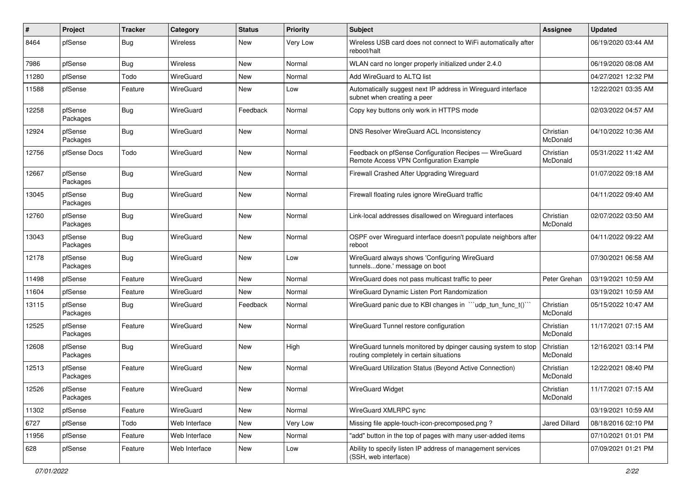| $\pmb{\#}$ | Project             | <b>Tracker</b> | Category        | <b>Status</b> | <b>Priority</b> | <b>Subject</b>                                                                                            | Assignee              | <b>Updated</b>      |
|------------|---------------------|----------------|-----------------|---------------|-----------------|-----------------------------------------------------------------------------------------------------------|-----------------------|---------------------|
| 8464       | pfSense             | Bug            | <b>Wireless</b> | New           | Very Low        | Wireless USB card does not connect to WiFi automatically after<br>reboot/halt                             |                       | 06/19/2020 03:44 AM |
| 7986       | pfSense             | Bug            | <b>Wireless</b> | New           | Normal          | WLAN card no longer properly initialized under 2.4.0                                                      |                       | 06/19/2020 08:08 AM |
| 11280      | pfSense             | Todo           | WireGuard       | New           | Normal          | Add WireGuard to ALTQ list                                                                                |                       | 04/27/2021 12:32 PM |
| 11588      | pfSense             | Feature        | WireGuard       | New           | Low             | Automatically suggest next IP address in Wireguard interface<br>subnet when creating a peer               |                       | 12/22/2021 03:35 AM |
| 12258      | pfSense<br>Packages | Bug            | WireGuard       | Feedback      | Normal          | Copy key buttons only work in HTTPS mode                                                                  |                       | 02/03/2022 04:57 AM |
| 12924      | pfSense<br>Packages | Bug            | WireGuard       | New           | Normal          | DNS Resolver WireGuard ACL Inconsistency                                                                  | Christian<br>McDonald | 04/10/2022 10:36 AM |
| 12756      | pfSense Docs        | Todo           | WireGuard       | <b>New</b>    | Normal          | Feedback on pfSense Configuration Recipes - WireGuard<br>Remote Access VPN Configuration Example          | Christian<br>McDonald | 05/31/2022 11:42 AM |
| 12667      | pfSense<br>Packages | Bug            | WireGuard       | New           | Normal          | Firewall Crashed After Upgrading Wireguard                                                                |                       | 01/07/2022 09:18 AM |
| 13045      | pfSense<br>Packages | Bug            | WireGuard       | New           | Normal          | Firewall floating rules ignore WireGuard traffic                                                          |                       | 04/11/2022 09:40 AM |
| 12760      | pfSense<br>Packages | <b>Bug</b>     | WireGuard       | New           | Normal          | Link-local addresses disallowed on Wirequard interfaces                                                   | Christian<br>McDonald | 02/07/2022 03:50 AM |
| 13043      | pfSense<br>Packages | <b>Bug</b>     | WireGuard       | New           | Normal          | OSPF over Wireguard interface doesn't populate neighbors after<br>reboot                                  |                       | 04/11/2022 09:22 AM |
| 12178      | pfSense<br>Packages | Bug            | WireGuard       | <b>New</b>    | Low             | WireGuard always shows 'Configuring WireGuard<br>tunnelsdone.' message on boot                            |                       | 07/30/2021 06:58 AM |
| 11498      | pfSense             | Feature        | WireGuard       | <b>New</b>    | Normal          | WireGuard does not pass multicast traffic to peer                                                         | Peter Grehan          | 03/19/2021 10:59 AM |
| 11604      | pfSense             | Feature        | WireGuard       | <b>New</b>    | Normal          | WireGuard Dynamic Listen Port Randomization                                                               |                       | 03/19/2021 10:59 AM |
| 13115      | pfSense<br>Packages | Bug            | WireGuard       | Feedback      | Normal          | WireGuard panic due to KBI changes in "'udp_tun_func_t()''                                                | Christian<br>McDonald | 05/15/2022 10:47 AM |
| 12525      | pfSense<br>Packages | Feature        | WireGuard       | <b>New</b>    | Normal          | WireGuard Tunnel restore configuration                                                                    | Christian<br>McDonald | 11/17/2021 07:15 AM |
| 12608      | pfSense<br>Packages | Bug            | WireGuard       | <b>New</b>    | High            | WireGuard tunnels monitored by dpinger causing system to stop<br>routing completely in certain situations | Christian<br>McDonald | 12/16/2021 03:14 PM |
| 12513      | pfSense<br>Packages | Feature        | WireGuard       | New           | Normal          | WireGuard Utilization Status (Beyond Active Connection)                                                   | Christian<br>McDonald | 12/22/2021 08:40 PM |
| 12526      | pfSense<br>Packages | Feature        | WireGuard       | New           | Normal          | WireGuard Widget                                                                                          | Christian<br>McDonald | 11/17/2021 07:15 AM |
| 11302      | pfSense             | Feature        | WireGuard       | New           | Normal          | WireGuard XMLRPC sync                                                                                     |                       | 03/19/2021 10:59 AM |
| 6727       | pfSense             | Todo           | Web Interface   | New           | Very Low        | Missing file apple-touch-icon-precomposed.png?                                                            | Jared Dillard         | 08/18/2016 02:10 PM |
| 11956      | pfSense             | Feature        | Web Interface   | New           | Normal          | "add" button in the top of pages with many user-added items                                               |                       | 07/10/2021 01:01 PM |
| 628        | pfSense             | Feature        | Web Interface   | New           | Low             | Ability to specify listen IP address of management services<br>(SSH, web interface)                       |                       | 07/09/2021 01:21 PM |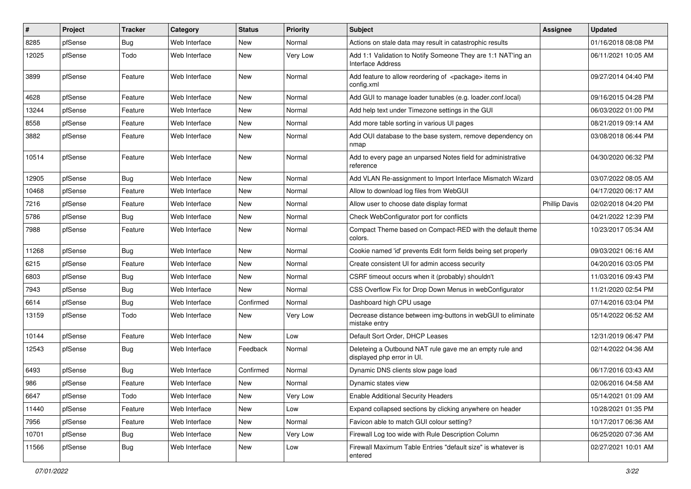| #     | Project | <b>Tracker</b> | Category      | <b>Status</b> | Priority | Subject                                                                               | <b>Assignee</b>      | <b>Updated</b>      |
|-------|---------|----------------|---------------|---------------|----------|---------------------------------------------------------------------------------------|----------------------|---------------------|
| 8285  | pfSense | Bug            | Web Interface | New           | Normal   | Actions on stale data may result in catastrophic results                              |                      | 01/16/2018 08:08 PM |
| 12025 | pfSense | Todo           | Web Interface | <b>New</b>    | Very Low | Add 1:1 Validation to Notify Someone They are 1:1 NAT'ing an<br>Interface Address     |                      | 06/11/2021 10:05 AM |
| 3899  | pfSense | Feature        | Web Interface | New           | Normal   | Add feature to allow reordering of <package> items in<br/>config.xml</package>        |                      | 09/27/2014 04:40 PM |
| 4628  | pfSense | Feature        | Web Interface | <b>New</b>    | Normal   | Add GUI to manage loader tunables (e.g. loader.conf.local)                            |                      | 09/16/2015 04:28 PM |
| 13244 | pfSense | Feature        | Web Interface | New           | Normal   | Add help text under Timezone settings in the GUI                                      |                      | 06/03/2022 01:00 PM |
| 8558  | pfSense | Feature        | Web Interface | New           | Normal   | Add more table sorting in various UI pages                                            |                      | 08/21/2019 09:14 AM |
| 3882  | pfSense | Feature        | Web Interface | New           | Normal   | Add OUI database to the base system, remove dependency on<br>nmap                     |                      | 03/08/2018 06:44 PM |
| 10514 | pfSense | Feature        | Web Interface | New           | Normal   | Add to every page an unparsed Notes field for administrative<br>reference             |                      | 04/30/2020 06:32 PM |
| 12905 | pfSense | Bug            | Web Interface | New           | Normal   | Add VLAN Re-assignment to Import Interface Mismatch Wizard                            |                      | 03/07/2022 08:05 AM |
| 10468 | pfSense | Feature        | Web Interface | New           | Normal   | Allow to download log files from WebGUI                                               |                      | 04/17/2020 06:17 AM |
| 7216  | pfSense | Feature        | Web Interface | New           | Normal   | Allow user to choose date display format                                              | <b>Phillip Davis</b> | 02/02/2018 04:20 PM |
| 5786  | pfSense | Bug            | Web Interface | <b>New</b>    | Normal   | Check WebConfigurator port for conflicts                                              |                      | 04/21/2022 12:39 PM |
| 7988  | pfSense | Feature        | Web Interface | New           | Normal   | Compact Theme based on Compact-RED with the default theme<br>colors.                  |                      | 10/23/2017 05:34 AM |
| 11268 | pfSense | <b>Bug</b>     | Web Interface | New           | Normal   | Cookie named 'id' prevents Edit form fields being set properly                        |                      | 09/03/2021 06:16 AM |
| 6215  | pfSense | Feature        | Web Interface | New           | Normal   | Create consistent UI for admin access security                                        |                      | 04/20/2016 03:05 PM |
| 6803  | pfSense | Bug            | Web Interface | New           | Normal   | CSRF timeout occurs when it (probably) shouldn't                                      |                      | 11/03/2016 09:43 PM |
| 7943  | pfSense | <b>Bug</b>     | Web Interface | <b>New</b>    | Normal   | CSS Overflow Fix for Drop Down Menus in webConfigurator                               |                      | 11/21/2020 02:54 PM |
| 6614  | pfSense | Bug            | Web Interface | Confirmed     | Normal   | Dashboard high CPU usage                                                              |                      | 07/14/2016 03:04 PM |
| 13159 | pfSense | Todo           | Web Interface | New           | Very Low | Decrease distance between img-buttons in webGUI to eliminate<br>mistake entry         |                      | 05/14/2022 06:52 AM |
| 10144 | pfSense | Feature        | Web Interface | <b>New</b>    | Low      | Default Sort Order, DHCP Leases                                                       |                      | 12/31/2019 06:47 PM |
| 12543 | pfSense | Bug            | Web Interface | Feedback      | Normal   | Deleteing a Outbound NAT rule gave me an empty rule and<br>displayed php error in UI. |                      | 02/14/2022 04:36 AM |
| 6493  | pfSense | Bug            | Web Interface | Confirmed     | Normal   | Dynamic DNS clients slow page load                                                    |                      | 06/17/2016 03:43 AM |
| 986   | pfSense | Feature        | Web Interface | New           | Normal   | Dynamic states view                                                                   |                      | 02/06/2016 04:58 AM |
| 6647  | pfSense | Todo           | Web Interface | New           | Very Low | <b>Enable Additional Security Headers</b>                                             |                      | 05/14/2021 01:09 AM |
| 11440 | pfSense | Feature        | Web Interface | New           | Low      | Expand collapsed sections by clicking anywhere on header                              |                      | 10/28/2021 01:35 PM |
| 7956  | pfSense | Feature        | Web Interface | New           | Normal   | Favicon able to match GUI colour setting?                                             |                      | 10/17/2017 06:36 AM |
| 10701 | pfSense | <b>Bug</b>     | Web Interface | New           | Very Low | Firewall Log too wide with Rule Description Column                                    |                      | 06/25/2020 07:36 AM |
| 11566 | pfSense | <b>Bug</b>     | Web Interface | New           | Low      | Firewall Maximum Table Entries "default size" is whatever is<br>entered               |                      | 02/27/2021 10:01 AM |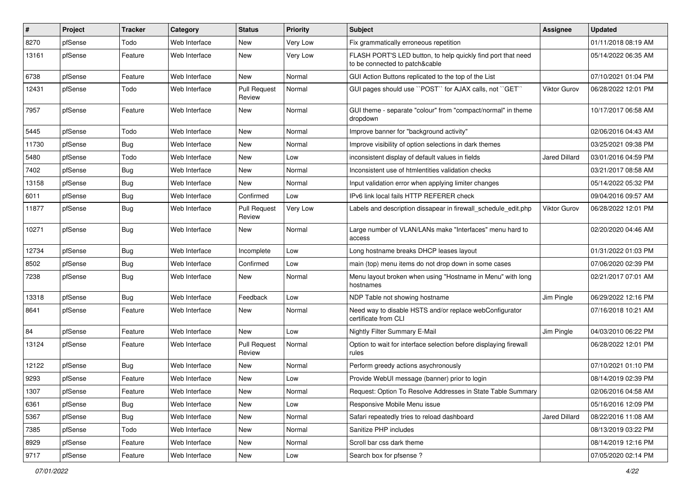| #     | Project | <b>Tracker</b> | Category      | <b>Status</b>                 | <b>Priority</b> | Subject                                                                                        | Assignee            | <b>Updated</b>      |
|-------|---------|----------------|---------------|-------------------------------|-----------------|------------------------------------------------------------------------------------------------|---------------------|---------------------|
| 8270  | pfSense | Todo           | Web Interface | New                           | Very Low        | Fix grammatically erroneous repetition                                                         |                     | 01/11/2018 08:19 AM |
| 13161 | pfSense | Feature        | Web Interface | New                           | Very Low        | FLASH PORT'S LED button, to help quickly find port that need<br>to be connected to patch&cable |                     | 05/14/2022 06:35 AM |
| 6738  | pfSense | Feature        | Web Interface | New                           | Normal          | GUI Action Buttons replicated to the top of the List                                           |                     | 07/10/2021 01:04 PM |
| 12431 | pfSense | Todo           | Web Interface | <b>Pull Request</b><br>Review | Normal          | GUI pages should use "POST" for AJAX calls, not "GET"                                          | <b>Viktor Gurov</b> | 06/28/2022 12:01 PM |
| 7957  | pfSense | Feature        | Web Interface | New                           | Normal          | GUI theme - separate "colour" from "compact/normal" in theme<br>dropdown                       |                     | 10/17/2017 06:58 AM |
| 5445  | pfSense | Todo           | Web Interface | New                           | Normal          | Improve banner for "background activity"                                                       |                     | 02/06/2016 04:43 AM |
| 11730 | pfSense | Bug            | Web Interface | <b>New</b>                    | Normal          | Improve visibility of option selections in dark themes                                         |                     | 03/25/2021 09:38 PM |
| 5480  | pfSense | Todo           | Web Interface | New                           | Low             | inconsistent display of default values in fields                                               | Jared Dillard       | 03/01/2016 04:59 PM |
| 7402  | pfSense | Bug            | Web Interface | New                           | Normal          | Inconsistent use of htmlentities validation checks                                             |                     | 03/21/2017 08:58 AM |
| 13158 | pfSense | Bug            | Web Interface | <b>New</b>                    | Normal          | Input validation error when applying limiter changes                                           |                     | 05/14/2022 05:32 PM |
| 6011  | pfSense | <b>Bug</b>     | Web Interface | Confirmed                     | Low             | IPv6 link local fails HTTP REFERER check                                                       |                     | 09/04/2016 09:57 AM |
| 11877 | pfSense | Bug            | Web Interface | <b>Pull Request</b><br>Review | Very Low        | Labels and description dissapear in firewall_schedule_edit.php                                 | <b>Viktor Gurov</b> | 06/28/2022 12:01 PM |
| 10271 | pfSense | Bug            | Web Interface | New                           | Normal          | Large number of VLAN/LANs make "Interfaces" menu hard to<br>access                             |                     | 02/20/2020 04:46 AM |
| 12734 | pfSense | Bug            | Web Interface | Incomplete                    | Low             | Long hostname breaks DHCP leases layout                                                        |                     | 01/31/2022 01:03 PM |
| 8502  | pfSense | Bug            | Web Interface | Confirmed                     | Low             | main (top) menu items do not drop down in some cases                                           |                     | 07/06/2020 02:39 PM |
| 7238  | pfSense | Bug            | Web Interface | New                           | Normal          | Menu layout broken when using "Hostname in Menu" with long<br>hostnames                        |                     | 02/21/2017 07:01 AM |
| 13318 | pfSense | Bug            | Web Interface | Feedback                      | Low             | NDP Table not showing hostname                                                                 | Jim Pingle          | 06/29/2022 12:16 PM |
| 8641  | pfSense | Feature        | Web Interface | New                           | Normal          | Need way to disable HSTS and/or replace webConfigurator<br>certificate from CLI                |                     | 07/16/2018 10:21 AM |
| 84    | pfSense | Feature        | Web Interface | <b>New</b>                    | Low             | Nightly Filter Summary E-Mail                                                                  | Jim Pingle          | 04/03/2010 06:22 PM |
| 13124 | pfSense | Feature        | Web Interface | <b>Pull Request</b><br>Review | Normal          | Option to wait for interface selection before displaying firewall<br>rules                     |                     | 06/28/2022 12:01 PM |
| 12122 | pfSense | Bug            | Web Interface | New                           | Normal          | Perform greedy actions asychronously                                                           |                     | 07/10/2021 01:10 PM |
| 9293  | pfSense | Feature        | Web Interface | New                           | Low             | Provide WebUI message (banner) prior to login                                                  |                     | 08/14/2019 02:39 PM |
| 1307  | pfSense | Feature        | Web Interface | New                           | Normal          | Request: Option To Resolve Addresses in State Table Summary                                    |                     | 02/06/2016 04:58 AM |
| 6361  | pfSense | Bug            | Web Interface | New                           | Low             | Responsive Mobile Menu issue                                                                   |                     | 05/16/2016 12:09 PM |
| 5367  | pfSense | Bug            | Web Interface | New                           | Normal          | Safari repeatedly tries to reload dashboard                                                    | Jared Dillard       | 08/22/2016 11:08 AM |
| 7385  | pfSense | Todo           | Web Interface | New                           | Normal          | Sanitize PHP includes                                                                          |                     | 08/13/2019 03:22 PM |
| 8929  | pfSense | Feature        | Web Interface | New                           | Normal          | Scroll bar css dark theme                                                                      |                     | 08/14/2019 12:16 PM |
| 9717  | pfSense | Feature        | Web Interface | New                           | Low             | Search box for pfsense ?                                                                       |                     | 07/05/2020 02:14 PM |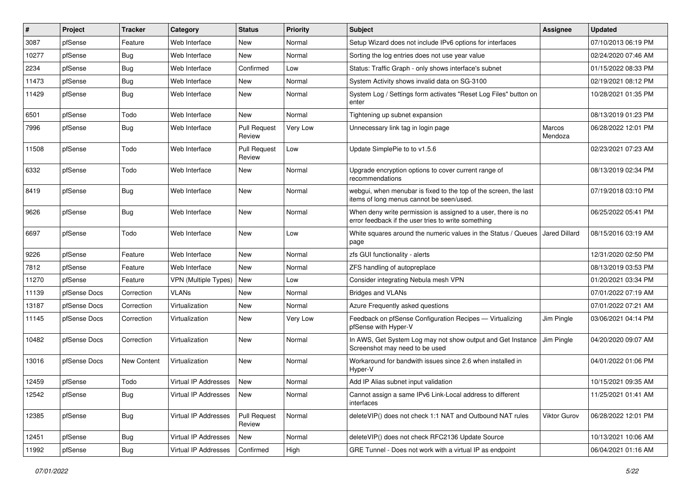| $\vert$ # | Project      | <b>Tracker</b>     | Category                    | <b>Status</b>                 | <b>Priority</b> | <b>Subject</b>                                                                                                       | Assignee             | <b>Updated</b>      |
|-----------|--------------|--------------------|-----------------------------|-------------------------------|-----------------|----------------------------------------------------------------------------------------------------------------------|----------------------|---------------------|
| 3087      | pfSense      | Feature            | Web Interface               | New                           | Normal          | Setup Wizard does not include IPv6 options for interfaces                                                            |                      | 07/10/2013 06:19 PM |
| 10277     | pfSense      | <b>Bug</b>         | Web Interface               | <b>New</b>                    | Normal          | Sorting the log entries does not use year value                                                                      |                      | 02/24/2020 07:46 AM |
| 2234      | pfSense      | Bug                | Web Interface               | Confirmed                     | Low             | Status: Traffic Graph - only shows interface's subnet                                                                |                      | 01/15/2022 08:33 PM |
| 11473     | pfSense      | <b>Bug</b>         | Web Interface               | New                           | Normal          | System Activity shows invalid data on SG-3100                                                                        |                      | 02/19/2021 08:12 PM |
| 11429     | pfSense      | <b>Bug</b>         | Web Interface               | <b>New</b>                    | Normal          | System Log / Settings form activates "Reset Log Files" button on<br>enter                                            |                      | 10/28/2021 01:35 PM |
| 6501      | pfSense      | Todo               | Web Interface               | <b>New</b>                    | Normal          | Tightening up subnet expansion                                                                                       |                      | 08/13/2019 01:23 PM |
| 7996      | pfSense      | <b>Bug</b>         | Web Interface               | <b>Pull Request</b><br>Review | Very Low        | Unnecessary link tag in login page                                                                                   | Marcos<br>Mendoza    | 06/28/2022 12:01 PM |
| 11508     | pfSense      | Todo               | Web Interface               | <b>Pull Request</b><br>Review | Low             | Update SimplePie to to v1.5.6                                                                                        |                      | 02/23/2021 07:23 AM |
| 6332      | pfSense      | Todo               | Web Interface               | New                           | Normal          | Upgrade encryption options to cover current range of<br>recommendations                                              |                      | 08/13/2019 02:34 PM |
| 8419      | pfSense      | <b>Bug</b>         | Web Interface               | <b>New</b>                    | Normal          | webgui, when menubar is fixed to the top of the screen, the last<br>items of long menus cannot be seen/used.         |                      | 07/19/2018 03:10 PM |
| 9626      | pfSense      | Bug                | Web Interface               | <b>New</b>                    | Normal          | When deny write permission is assigned to a user, there is no<br>error feedback if the user tries to write something |                      | 06/25/2022 05:41 PM |
| 6697      | pfSense      | Todo               | Web Interface               | New                           | Low             | White squares around the numeric values in the Status / Queues  <br>page                                             | <b>Jared Dillard</b> | 08/15/2016 03:19 AM |
| 9226      | pfSense      | Feature            | Web Interface               | New                           | Normal          | zfs GUI functionality - alerts                                                                                       |                      | 12/31/2020 02:50 PM |
| 7812      | pfSense      | Feature            | Web Interface               | <b>New</b>                    | Normal          | ZFS handling of autopreplace                                                                                         |                      | 08/13/2019 03:53 PM |
| 11270     | pfSense      | Feature            | <b>VPN (Multiple Types)</b> | New                           | Low             | Consider integrating Nebula mesh VPN                                                                                 |                      | 01/20/2021 03:34 PM |
| 11139     | pfSense Docs | Correction         | <b>VLANs</b>                | New                           | Normal          | <b>Bridges and VLANs</b>                                                                                             |                      | 07/01/2022 07:19 AM |
| 13187     | pfSense Docs | Correction         | Virtualization              | <b>New</b>                    | Normal          | Azure Frequently asked questions                                                                                     |                      | 07/01/2022 07:21 AM |
| 11145     | pfSense Docs | Correction         | Virtualization              | New                           | Very Low        | Feedback on pfSense Configuration Recipes - Virtualizing<br>pfSense with Hyper-V                                     | Jim Pingle           | 03/06/2021 04:14 PM |
| 10482     | pfSense Docs | Correction         | Virtualization              | <b>New</b>                    | Normal          | In AWS, Get System Log may not show output and Get Instance<br>Screenshot may need to be used                        | Jim Pingle           | 04/20/2020 09:07 AM |
| 13016     | pfSense Docs | <b>New Content</b> | Virtualization              | <b>New</b>                    | Normal          | Workaround for bandwith issues since 2.6 when installed in<br>Hyper-V                                                |                      | 04/01/2022 01:06 PM |
| 12459     | pfSense      | Todo               | Virtual IP Addresses        | New                           | Normal          | Add IP Alias subnet input validation                                                                                 |                      | 10/15/2021 09:35 AM |
| 12542     | pfSense      | <b>Bug</b>         | Virtual IP Addresses        | New                           | Normal          | Cannot assign a same IPv6 Link-Local address to different<br>interfaces                                              |                      | 11/25/2021 01:41 AM |
| 12385     | pfSense      | Bug                | Virtual IP Addresses        | Pull Request<br>Review        | Normal          | deleteVIP() does not check 1:1 NAT and Outbound NAT rules                                                            | <b>Viktor Gurov</b>  | 06/28/2022 12:01 PM |
| 12451     | pfSense      | <b>Bug</b>         | Virtual IP Addresses        | New                           | Normal          | deleteVIP() does not check RFC2136 Update Source                                                                     |                      | 10/13/2021 10:06 AM |
| 11992     | pfSense      | <b>Bug</b>         | Virtual IP Addresses        | Confirmed                     | High            | GRE Tunnel - Does not work with a virtual IP as endpoint                                                             |                      | 06/04/2021 01:16 AM |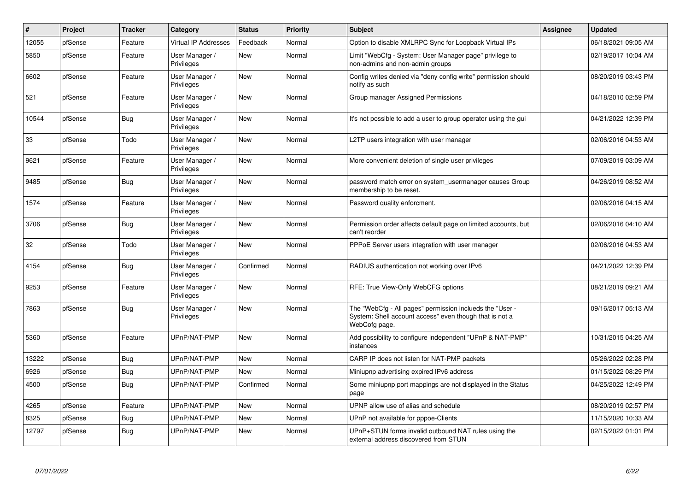| $\vert$ # | Project | <b>Tracker</b> | Category                     | <b>Status</b> | <b>Priority</b> | <b>Subject</b>                                                                                                                       | Assignee | <b>Updated</b>      |
|-----------|---------|----------------|------------------------------|---------------|-----------------|--------------------------------------------------------------------------------------------------------------------------------------|----------|---------------------|
| 12055     | pfSense | Feature        | <b>Virtual IP Addresses</b>  | Feedback      | Normal          | Option to disable XMLRPC Sync for Loopback Virtual IPs                                                                               |          | 06/18/2021 09:05 AM |
| 5850      | pfSense | Feature        | User Manager /<br>Privileges | <b>New</b>    | Normal          | Limit "WebCfg - System: User Manager page" privilege to<br>non-admins and non-admin groups                                           |          | 02/19/2017 10:04 AM |
| 6602      | pfSense | Feature        | User Manager /<br>Privileges | <b>New</b>    | Normal          | Config writes denied via "deny config write" permission should<br>notify as such                                                     |          | 08/20/2019 03:43 PM |
| 521       | pfSense | Feature        | User Manager /<br>Privileges | <b>New</b>    | Normal          | Group manager Assigned Permissions                                                                                                   |          | 04/18/2010 02:59 PM |
| 10544     | pfSense | <b>Bug</b>     | User Manager /<br>Privileges | <b>New</b>    | Normal          | It's not possible to add a user to group operator using the gui                                                                      |          | 04/21/2022 12:39 PM |
| 33        | pfSense | Todo           | User Manager /<br>Privileges | <b>New</b>    | Normal          | L2TP users integration with user manager                                                                                             |          | 02/06/2016 04:53 AM |
| 9621      | pfSense | Feature        | User Manager /<br>Privileges | <b>New</b>    | Normal          | More convenient deletion of single user privileges                                                                                   |          | 07/09/2019 03:09 AM |
| 9485      | pfSense | Bug            | User Manager /<br>Privileges | <b>New</b>    | Normal          | password match error on system usermanager causes Group<br>membership to be reset.                                                   |          | 04/26/2019 08:52 AM |
| 1574      | pfSense | Feature        | User Manager /<br>Privileges | <b>New</b>    | Normal          | Password quality enforcment.                                                                                                         |          | 02/06/2016 04:15 AM |
| 3706      | pfSense | Bug            | User Manager /<br>Privileges | New           | Normal          | Permission order affects default page on limited accounts, but<br>can't reorder                                                      |          | 02/06/2016 04:10 AM |
| 32        | pfSense | Todo           | User Manager /<br>Privileges | <b>New</b>    | Normal          | PPPoE Server users integration with user manager                                                                                     |          | 02/06/2016 04:53 AM |
| 4154      | pfSense | Bug            | User Manager /<br>Privileges | Confirmed     | Normal          | RADIUS authentication not working over IPv6                                                                                          |          | 04/21/2022 12:39 PM |
| 9253      | pfSense | Feature        | User Manager /<br>Privileges | <b>New</b>    | Normal          | RFE: True View-Only WebCFG options                                                                                                   |          | 08/21/2019 09:21 AM |
| 7863      | pfSense | <b>Bug</b>     | User Manager /<br>Privileges | <b>New</b>    | Normal          | The "WebCfg - All pages" permission inclueds the "User -<br>System: Shell account access" even though that is not a<br>WebCofg page. |          | 09/16/2017 05:13 AM |
| 5360      | pfSense | Feature        | UPnP/NAT-PMP                 | New           | Normal          | Add possibility to configure independent "UPnP & NAT-PMP"<br>instances                                                               |          | 10/31/2015 04:25 AM |
| 13222     | pfSense | Bug            | UPnP/NAT-PMP                 | New           | Normal          | CARP IP does not listen for NAT-PMP packets                                                                                          |          | 05/26/2022 02:28 PM |
| 6926      | pfSense | <b>Bug</b>     | UPnP/NAT-PMP                 | <b>New</b>    | Normal          | Miniupnp advertising expired IPv6 address                                                                                            |          | 01/15/2022 08:29 PM |
| 4500      | pfSense | <b>Bug</b>     | UPnP/NAT-PMP                 | Confirmed     | Normal          | Some miniupnp port mappings are not displayed in the Status<br>page                                                                  |          | 04/25/2022 12:49 PM |
| 4265      | pfSense | Feature        | UPnP/NAT-PMP                 | <b>New</b>    | Normal          | UPNP allow use of alias and schedule                                                                                                 |          | 08/20/2019 02:57 PM |
| 8325      | pfSense | Bug            | UPnP/NAT-PMP                 | <b>New</b>    | Normal          | UPnP not available for pppoe-Clients                                                                                                 |          | 11/15/2020 10:33 AM |
| 12797     | pfSense | Bug            | UPnP/NAT-PMP                 | <b>New</b>    | Normal          | UPnP+STUN forms invalid outbound NAT rules using the<br>external address discovered from STUN                                        |          | 02/15/2022 01:01 PM |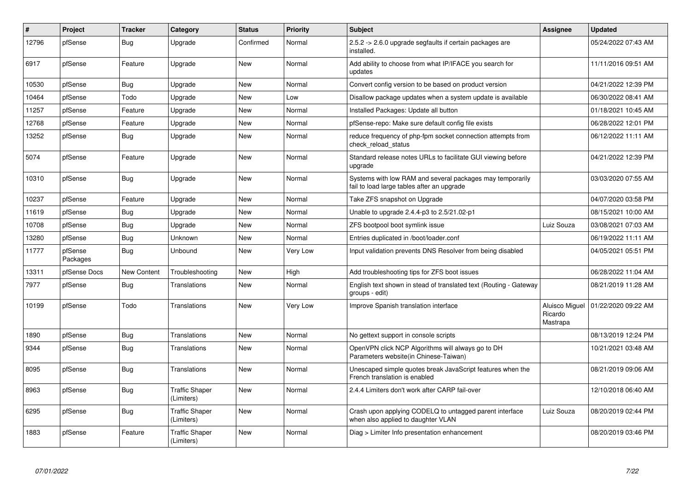| $\vert$ # | Project             | <b>Tracker</b> | Category                            | <b>Status</b> | <b>Priority</b> | <b>Subject</b>                                                                                          | <b>Assignee</b>     | <b>Updated</b>                       |
|-----------|---------------------|----------------|-------------------------------------|---------------|-----------------|---------------------------------------------------------------------------------------------------------|---------------------|--------------------------------------|
| 12796     | pfSense             | Bug            | Upgrade                             | Confirmed     | Normal          | 2.5.2 -> 2.6.0 upgrade segfaults if certain packages are<br>installed.                                  |                     | 05/24/2022 07:43 AM                  |
| 6917      | pfSense             | Feature        | Upgrade                             | New           | Normal          | Add ability to choose from what IP/IFACE you search for<br>updates                                      |                     | 11/11/2016 09:51 AM                  |
| 10530     | pfSense             | Bug            | Upgrade                             | New           | Normal          | Convert config version to be based on product version                                                   |                     | 04/21/2022 12:39 PM                  |
| 10464     | pfSense             | Todo           | Upgrade                             | New           | Low             | Disallow package updates when a system update is available                                              |                     | 06/30/2022 08:41 AM                  |
| 11257     | pfSense             | Feature        | Upgrade                             | <b>New</b>    | Normal          | Installed Packages: Update all button                                                                   |                     | 01/18/2021 10:45 AM                  |
| 12768     | pfSense             | Feature        | Upgrade                             | <b>New</b>    | Normal          | pfSense-repo: Make sure default config file exists                                                      |                     | 06/28/2022 12:01 PM                  |
| 13252     | pfSense             | <b>Bug</b>     | Upgrade                             | <b>New</b>    | Normal          | reduce frequency of php-fpm socket connection attempts from<br>check reload status                      |                     | 06/12/2022 11:11 AM                  |
| 5074      | pfSense             | Feature        | Upgrade                             | New           | Normal          | Standard release notes URLs to facilitate GUI viewing before<br>upgrade                                 |                     | 04/21/2022 12:39 PM                  |
| 10310     | pfSense             | <b>Bug</b>     | Upgrade                             | New           | Normal          | Systems with low RAM and several packages may temporarily<br>fail to load large tables after an upgrade |                     | 03/03/2020 07:55 AM                  |
| 10237     | pfSense             | Feature        | Upgrade                             | New           | Normal          | Take ZFS snapshot on Upgrade                                                                            |                     | 04/07/2020 03:58 PM                  |
| 11619     | pfSense             | <b>Bug</b>     | Upgrade                             | New           | Normal          | Unable to upgrade 2.4.4-p3 to 2.5/21.02-p1                                                              |                     | 08/15/2021 10:00 AM                  |
| 10708     | pfSense             | <b>Bug</b>     | Upgrade                             | New           | Normal          | ZFS bootpool boot symlink issue                                                                         | Luiz Souza          | 03/08/2021 07:03 AM                  |
| 13280     | pfSense             | Bug            | Unknown                             | New           | Normal          | Entries duplicated in /boot/loader.conf                                                                 |                     | 06/19/2022 11:11 AM                  |
| 11777     | pfSense<br>Packages | Bug            | Unbound                             | <b>New</b>    | Very Low        | Input validation prevents DNS Resolver from being disabled                                              |                     | 04/05/2021 05:51 PM                  |
| 13311     | pfSense Docs        | New Content    | Troubleshooting                     | New           | High            | Add troubleshooting tips for ZFS boot issues                                                            |                     | 06/28/2022 11:04 AM                  |
| 7977      | pfSense             | <b>Bug</b>     | <b>Translations</b>                 | New           | Normal          | English text shown in stead of translated text (Routing - Gateway<br>groups - edit)                     |                     | 08/21/2019 11:28 AM                  |
| 10199     | pfSense             | Todo           | <b>Translations</b>                 | New           | <b>Very Low</b> | Improve Spanish translation interface                                                                   | Ricardo<br>Mastrapa | Aluisco Miguel   01/22/2020 09:22 AM |
| 1890      | pfSense             | Bug            | Translations                        | <b>New</b>    | Normal          | No gettext support in console scripts                                                                   |                     | 08/13/2019 12:24 PM                  |
| 9344      | pfSense             | Bug            | Translations                        | <b>New</b>    | Normal          | OpenVPN click NCP Algorithms will always go to DH<br>Parameters website(in Chinese-Taiwan)              |                     | 10/21/2021 03:48 AM                  |
| 8095      | pfSense             | <b>Bug</b>     | Translations                        | New           | Normal          | Unescaped simple quotes break JavaScript features when the<br>French translation is enabled             |                     | 08/21/2019 09:06 AM                  |
| 8963      | pfSense             | <b>Bug</b>     | <b>Traffic Shaper</b><br>(Limiters) | <b>New</b>    | Normal          | 2.4.4 Limiters don't work after CARP fail-over                                                          |                     | 12/10/2018 06:40 AM                  |
| 6295      | pfSense             | <b>Bug</b>     | <b>Traffic Shaper</b><br>(Limiters) | <b>New</b>    | Normal          | Crash upon applying CODELQ to untagged parent interface<br>when also applied to daughter VLAN           | Luiz Souza          | 08/20/2019 02:44 PM                  |
| 1883      | pfSense             | Feature        | <b>Traffic Shaper</b><br>(Limiters) | <b>New</b>    | Normal          | Diag > Limiter Info presentation enhancement                                                            |                     | 08/20/2019 03:46 PM                  |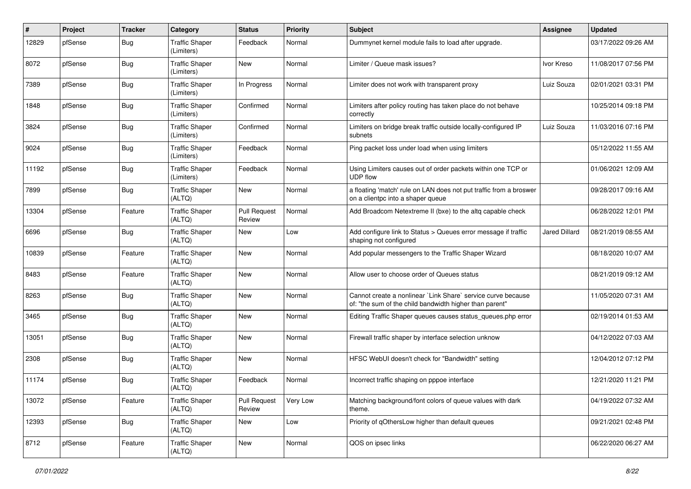| #     | Project | <b>Tracker</b> | Category                            | <b>Status</b>                 | <b>Priority</b> | <b>Subject</b>                                                                                                          | Assignee             | <b>Updated</b>      |
|-------|---------|----------------|-------------------------------------|-------------------------------|-----------------|-------------------------------------------------------------------------------------------------------------------------|----------------------|---------------------|
| 12829 | pfSense | Bug            | <b>Traffic Shaper</b><br>(Limiters) | Feedback                      | Normal          | Dummynet kernel module fails to load after upgrade.                                                                     |                      | 03/17/2022 09:26 AM |
| 8072  | pfSense | Bug            | <b>Traffic Shaper</b><br>(Limiters) | New                           | Normal          | Limiter / Queue mask issues?                                                                                            | Ivor Kreso           | 11/08/2017 07:56 PM |
| 7389  | pfSense | <b>Bug</b>     | <b>Traffic Shaper</b><br>(Limiters) | In Progress                   | Normal          | Limiter does not work with transparent proxy                                                                            | Luiz Souza           | 02/01/2021 03:31 PM |
| 1848  | pfSense | <b>Bug</b>     | <b>Traffic Shaper</b><br>(Limiters) | Confirmed                     | Normal          | Limiters after policy routing has taken place do not behave<br>correctly                                                |                      | 10/25/2014 09:18 PM |
| 3824  | pfSense | <b>Bug</b>     | <b>Traffic Shaper</b><br>(Limiters) | Confirmed                     | Normal          | Limiters on bridge break traffic outside locally-configured IP<br>subnets                                               | Luiz Souza           | 11/03/2016 07:16 PM |
| 9024  | pfSense | <b>Bug</b>     | <b>Traffic Shaper</b><br>(Limiters) | Feedback                      | Normal          | Ping packet loss under load when using limiters                                                                         |                      | 05/12/2022 11:55 AM |
| 11192 | pfSense | Bug            | <b>Traffic Shaper</b><br>(Limiters) | Feedback                      | Normal          | Using Limiters causes out of order packets within one TCP or<br><b>UDP flow</b>                                         |                      | 01/06/2021 12:09 AM |
| 7899  | pfSense | <b>Bug</b>     | <b>Traffic Shaper</b><br>(ALTQ)     | New                           | Normal          | a floating 'match' rule on LAN does not put traffic from a broswer<br>on a clientpc into a shaper queue                 |                      | 09/28/2017 09:16 AM |
| 13304 | pfSense | Feature        | <b>Traffic Shaper</b><br>(ALTQ)     | Pull Request<br>Review        | Normal          | Add Broadcom Netextreme II (bxe) to the altg capable check                                                              |                      | 06/28/2022 12:01 PM |
| 6696  | pfSense | <b>Bug</b>     | <b>Traffic Shaper</b><br>(ALTQ)     | <b>New</b>                    | Low             | Add configure link to Status > Queues error message if traffic<br>shaping not configured                                | <b>Jared Dillard</b> | 08/21/2019 08:55 AM |
| 10839 | pfSense | Feature        | <b>Traffic Shaper</b><br>(ALTQ)     | New                           | Normal          | Add popular messengers to the Traffic Shaper Wizard                                                                     |                      | 08/18/2020 10:07 AM |
| 8483  | pfSense | Feature        | <b>Traffic Shaper</b><br>(ALTQ)     | New                           | Normal          | Allow user to choose order of Queues status                                                                             |                      | 08/21/2019 09:12 AM |
| 8263  | pfSense | <b>Bug</b>     | <b>Traffic Shaper</b><br>(ALTQ)     | New                           | Normal          | Cannot create a nonlinear `Link Share` service curve because<br>of: "the sum of the child bandwidth higher than parent" |                      | 11/05/2020 07:31 AM |
| 3465  | pfSense | <b>Bug</b>     | <b>Traffic Shaper</b><br>(ALTQ)     | <b>New</b>                    | Normal          | Editing Traffic Shaper queues causes status queues.php error                                                            |                      | 02/19/2014 01:53 AM |
| 13051 | pfSense | <b>Bug</b>     | <b>Traffic Shaper</b><br>(ALTQ)     | New                           | Normal          | Firewall traffic shaper by interface selection unknow                                                                   |                      | 04/12/2022 07:03 AM |
| 2308  | pfSense | Bug            | <b>Traffic Shaper</b><br>(ALTQ)     | New                           | Normal          | HFSC WebUI doesn't check for "Bandwidth" setting                                                                        |                      | 12/04/2012 07:12 PM |
| 11174 | pfSense | <b>Bug</b>     | <b>Traffic Shaper</b><br>(ALTQ)     | Feedback                      | Normal          | Incorrect traffic shaping on pppoe interface                                                                            |                      | 12/21/2020 11:21 PM |
| 13072 | pfSense | Feature        | <b>Traffic Shaper</b><br>(ALTQ)     | <b>Pull Request</b><br>Review | Very Low        | Matching background/font colors of queue values with dark<br>theme.                                                     |                      | 04/19/2022 07:32 AM |
| 12393 | pfSense | Bug            | <b>Traffic Shaper</b><br>(ALTQ)     | New                           | Low             | Priority of qOthersLow higher than default queues                                                                       |                      | 09/21/2021 02:48 PM |
| 8712  | pfSense | Feature        | <b>Traffic Shaper</b><br>(ALTQ)     | New                           | Normal          | QOS on ipsec links                                                                                                      |                      | 06/22/2020 06:27 AM |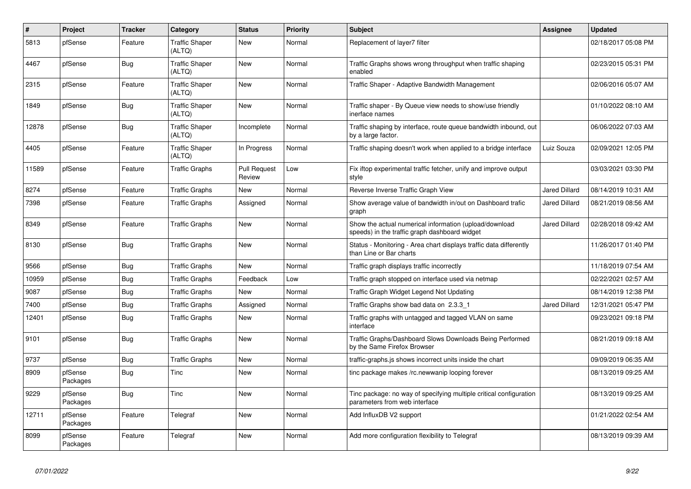| $\vert$ # | Project             | <b>Tracker</b> | Category                        | <b>Status</b>                 | Priority | <b>Subject</b>                                                                                          | Assignee             | <b>Updated</b>      |
|-----------|---------------------|----------------|---------------------------------|-------------------------------|----------|---------------------------------------------------------------------------------------------------------|----------------------|---------------------|
| 5813      | pfSense             | Feature        | <b>Traffic Shaper</b><br>(ALTQ) | New                           | Normal   | Replacement of layer7 filter                                                                            |                      | 02/18/2017 05:08 PM |
| 4467      | pfSense             | Bug            | <b>Traffic Shaper</b><br>(ALTQ) | <b>New</b>                    | Normal   | Traffic Graphs shows wrong throughput when traffic shaping<br>enabled                                   |                      | 02/23/2015 05:31 PM |
| 2315      | pfSense             | Feature        | <b>Traffic Shaper</b><br>(ALTQ) | <b>New</b>                    | Normal   | Traffic Shaper - Adaptive Bandwidth Management                                                          |                      | 02/06/2016 05:07 AM |
| 1849      | pfSense             | <b>Bug</b>     | <b>Traffic Shaper</b><br>(ALTQ) | <b>New</b>                    | Normal   | Traffic shaper - By Queue view needs to show/use friendly<br>inerface names                             |                      | 01/10/2022 08:10 AM |
| 12878     | pfSense             | Bug            | <b>Traffic Shaper</b><br>(ALTQ) | Incomplete                    | Normal   | Traffic shaping by interface, route queue bandwidth inbound, out<br>by a large factor.                  |                      | 06/06/2022 07:03 AM |
| 4405      | pfSense             | Feature        | <b>Traffic Shaper</b><br>(ALTQ) | In Progress                   | Normal   | Traffic shaping doesn't work when applied to a bridge interface                                         | Luiz Souza           | 02/09/2021 12:05 PM |
| 11589     | pfSense             | Feature        | <b>Traffic Graphs</b>           | <b>Pull Request</b><br>Review | Low      | Fix iftop experimental traffic fetcher, unify and improve output<br>style                               |                      | 03/03/2021 03:30 PM |
| 8274      | pfSense             | Feature        | <b>Traffic Graphs</b>           | <b>New</b>                    | Normal   | Reverse Inverse Traffic Graph View                                                                      | <b>Jared Dillard</b> | 08/14/2019 10:31 AM |
| 7398      | pfSense             | Feature        | <b>Traffic Graphs</b>           | Assigned                      | Normal   | Show average value of bandwidth in/out on Dashboard trafic<br>graph                                     | <b>Jared Dillard</b> | 08/21/2019 08:56 AM |
| 8349      | pfSense             | Feature        | <b>Traffic Graphs</b>           | <b>New</b>                    | Normal   | Show the actual numerical information (upload/download<br>speeds) in the traffic graph dashboard widget | <b>Jared Dillard</b> | 02/28/2018 09:42 AM |
| 8130      | pfSense             | <b>Bug</b>     | <b>Traffic Graphs</b>           | New                           | Normal   | Status - Monitoring - Area chart displays traffic data differently<br>than Line or Bar charts           |                      | 11/26/2017 01:40 PM |
| 9566      | pfSense             | Bug            | <b>Traffic Graphs</b>           | <b>New</b>                    | Normal   | Traffic graph displays traffic incorrectly                                                              |                      | 11/18/2019 07:54 AM |
| 10959     | pfSense             | <b>Bug</b>     | <b>Traffic Graphs</b>           | Feedback                      | Low      | Traffic graph stopped on interface used via netmap                                                      |                      | 02/22/2021 02:57 AM |
| 9087      | pfSense             | Bug            | <b>Traffic Graphs</b>           | New                           | Normal   | Traffic Graph Widget Legend Not Updating                                                                |                      | 08/14/2019 12:38 PM |
| 7400      | pfSense             | <b>Bug</b>     | <b>Traffic Graphs</b>           | Assigned                      | Normal   | Traffic Graphs show bad data on 2.3.3 1                                                                 | <b>Jared Dillard</b> | 12/31/2021 05:47 PM |
| 12401     | pfSense             | <b>Bug</b>     | <b>Traffic Graphs</b>           | New                           | Normal   | Traffic graphs with untagged and tagged VLAN on same<br>interface                                       |                      | 09/23/2021 09:18 PM |
| 9101      | pfSense             | <b>Bug</b>     | <b>Traffic Graphs</b>           | <b>New</b>                    | Normal   | Traffic Graphs/Dashboard Slows Downloads Being Performed<br>by the Same Firefox Browser                 |                      | 08/21/2019 09:18 AM |
| 9737      | pfSense             | Bug            | <b>Traffic Graphs</b>           | <b>New</b>                    | Normal   | traffic-graphs.js shows incorrect units inside the chart                                                |                      | 09/09/2019 06:35 AM |
| 8909      | pfSense<br>Packages | <b>Bug</b>     | Tinc                            | <b>New</b>                    | Normal   | tinc package makes /rc.newwanip looping forever                                                         |                      | 08/13/2019 09:25 AM |
| 9229      | pfSense<br>Packages | Bug            | Tinc                            | <b>New</b>                    | Normal   | Tinc package: no way of specifying multiple critical configuration<br>parameters from web interface     |                      | 08/13/2019 09:25 AM |
| 12711     | pfSense<br>Packages | Feature        | Telegraf                        | New                           | Normal   | Add InfluxDB V2 support                                                                                 |                      | 01/21/2022 02:54 AM |
| 8099      | pfSense<br>Packages | Feature        | Telegraf                        | <b>New</b>                    | Normal   | Add more configuration flexibility to Telegraf                                                          |                      | 08/13/2019 09:39 AM |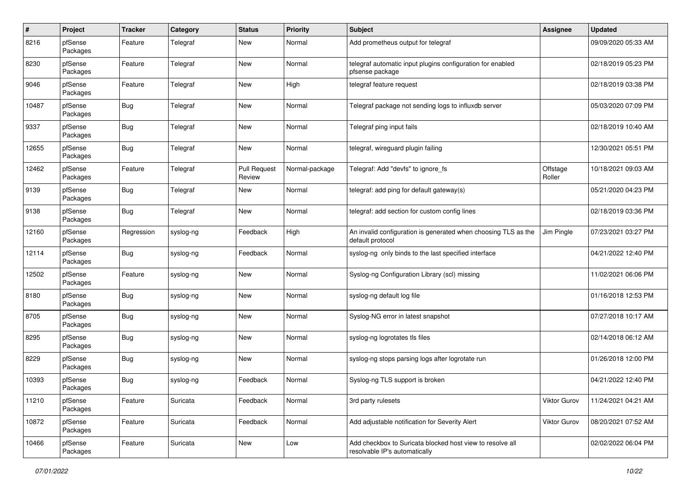| $\#$  | Project             | <b>Tracker</b> | Category  | <b>Status</b>                 | <b>Priority</b> | <b>Subject</b>                                                                             | Assignee           | <b>Updated</b>      |
|-------|---------------------|----------------|-----------|-------------------------------|-----------------|--------------------------------------------------------------------------------------------|--------------------|---------------------|
| 8216  | pfSense<br>Packages | Feature        | Telegraf  | New                           | Normal          | Add prometheus output for telegraf                                                         |                    | 09/09/2020 05:33 AM |
| 8230  | pfSense<br>Packages | Feature        | Telegraf  | <b>New</b>                    | Normal          | telegraf automatic input plugins configuration for enabled<br>pfsense package              |                    | 02/18/2019 05:23 PM |
| 9046  | pfSense<br>Packages | Feature        | Telegraf  | <b>New</b>                    | High            | telegraf feature request                                                                   |                    | 02/18/2019 03:38 PM |
| 10487 | pfSense<br>Packages | <b>Bug</b>     | Telegraf  | <b>New</b>                    | Normal          | Telegraf package not sending logs to influxdb server                                       |                    | 05/03/2020 07:09 PM |
| 9337  | pfSense<br>Packages | Bug            | Telegraf  | <b>New</b>                    | Normal          | Telegraf ping input fails                                                                  |                    | 02/18/2019 10:40 AM |
| 12655 | pfSense<br>Packages | <b>Bug</b>     | Telegraf  | <b>New</b>                    | Normal          | telegraf, wireguard plugin failing                                                         |                    | 12/30/2021 05:51 PM |
| 12462 | pfSense<br>Packages | Feature        | Telegraf  | <b>Pull Request</b><br>Review | Normal-package  | Telegraf: Add "devfs" to ignore_fs                                                         | Offstage<br>Roller | 10/18/2021 09:03 AM |
| 9139  | pfSense<br>Packages | <b>Bug</b>     | Telegraf  | New                           | Normal          | telegraf: add ping for default gateway(s)                                                  |                    | 05/21/2020 04:23 PM |
| 9138  | pfSense<br>Packages | Bug            | Telegraf  | <b>New</b>                    | Normal          | telegraf: add section for custom config lines                                              |                    | 02/18/2019 03:36 PM |
| 12160 | pfSense<br>Packages | Regression     | syslog-ng | Feedback                      | High            | An invalid configuration is generated when choosing TLS as the<br>default protocol         | Jim Pingle         | 07/23/2021 03:27 PM |
| 12114 | pfSense<br>Packages | <b>Bug</b>     | syslog-ng | Feedback                      | Normal          | syslog-ng only binds to the last specified interface                                       |                    | 04/21/2022 12:40 PM |
| 12502 | pfSense<br>Packages | Feature        | syslog-ng | <b>New</b>                    | Normal          | Syslog-ng Configuration Library (scl) missing                                              |                    | 11/02/2021 06:06 PM |
| 8180  | pfSense<br>Packages | <b>Bug</b>     | syslog-ng | <b>New</b>                    | Normal          | syslog-ng default log file                                                                 |                    | 01/16/2018 12:53 PM |
| 8705  | pfSense<br>Packages | <b>Bug</b>     | syslog-ng | New                           | Normal          | Syslog-NG error in latest snapshot                                                         |                    | 07/27/2018 10:17 AM |
| 8295  | pfSense<br>Packages | <b>Bug</b>     | syslog-ng | <b>New</b>                    | Normal          | syslog-ng logrotates tls files                                                             |                    | 02/14/2018 06:12 AM |
| 8229  | pfSense<br>Packages | <b>Bug</b>     | syslog-ng | <b>New</b>                    | Normal          | syslog-ng stops parsing logs after logrotate run                                           |                    | 01/26/2018 12:00 PM |
| 10393 | pfSense<br>Packages | <b>Bug</b>     | syslog-ng | Feedback                      | Normal          | Syslog-ng TLS support is broken                                                            |                    | 04/21/2022 12:40 PM |
| 11210 | pfSense<br>Packages | Feature        | Suricata  | Feedback                      | Normal          | 3rd party rulesets                                                                         | Viktor Gurov       | 11/24/2021 04:21 AM |
| 10872 | pfSense<br>Packages | Feature        | Suricata  | Feedback                      | Normal          | Add adjustable notification for Severity Alert                                             | Viktor Gurov       | 08/20/2021 07:52 AM |
| 10466 | pfSense<br>Packages | Feature        | Suricata  | New                           | Low             | Add checkbox to Suricata blocked host view to resolve all<br>resolvable IP's automatically |                    | 02/02/2022 06:04 PM |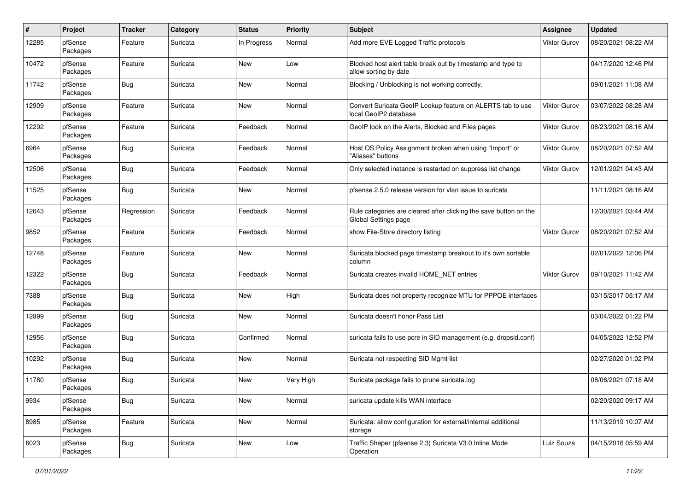| $\pmb{\#}$ | Project             | <b>Tracker</b> | Category | <b>Status</b> | <b>Priority</b> | <b>Subject</b>                                                                            | <b>Assignee</b>     | <b>Updated</b>      |
|------------|---------------------|----------------|----------|---------------|-----------------|-------------------------------------------------------------------------------------------|---------------------|---------------------|
| 12285      | pfSense<br>Packages | Feature        | Suricata | In Progress   | Normal          | Add more EVE Logged Traffic protocols                                                     | <b>Viktor Gurov</b> | 08/20/2021 08:22 AM |
| 10472      | pfSense<br>Packages | Feature        | Suricata | <b>New</b>    | Low             | Blocked host alert table break out by timestamp and type to<br>allow sorting by date      |                     | 04/17/2020 12:46 PM |
| 11742      | pfSense<br>Packages | <b>Bug</b>     | Suricata | <b>New</b>    | Normal          | Blocking / Unblocking is not working correctly.                                           |                     | 09/01/2021 11:08 AM |
| 12909      | pfSense<br>Packages | Feature        | Suricata | New           | Normal          | Convert Suricata GeoIP Lookup feature on ALERTS tab to use<br>local GeoIP2 database       | Viktor Gurov        | 03/07/2022 08:28 AM |
| 12292      | pfSense<br>Packages | Feature        | Suricata | Feedback      | Normal          | GeoIP look on the Alerts, Blocked and Files pages                                         | Viktor Gurov        | 08/23/2021 08:16 AM |
| 6964       | pfSense<br>Packages | Bug            | Suricata | Feedback      | Normal          | Host OS Policy Assignment broken when using "Import" or<br>"Aliases" buttons              | <b>Viktor Gurov</b> | 08/20/2021 07:52 AM |
| 12506      | pfSense<br>Packages | <b>Bug</b>     | Suricata | Feedback      | Normal          | Only selected instance is restarted on suppress list change                               | Viktor Gurov        | 12/01/2021 04:43 AM |
| 11525      | pfSense<br>Packages | <b>Bug</b>     | Suricata | New           | Normal          | pfsense 2.5.0 release version for vlan issue to suricata                                  |                     | 11/11/2021 08:16 AM |
| 12643      | pfSense<br>Packages | Regression     | Suricata | Feedback      | Normal          | Rule categories are cleared after clicking the save button on the<br>Global Settings page |                     | 12/30/2021 03:44 AM |
| 9852       | pfSense<br>Packages | Feature        | Suricata | Feedback      | Normal          | show File-Store directory listing                                                         | Viktor Gurov        | 08/20/2021 07:52 AM |
| 12748      | pfSense<br>Packages | Feature        | Suricata | <b>New</b>    | Normal          | Suricata blocked page timestamp breakout to it's own sortable<br>column                   |                     | 02/01/2022 12:06 PM |
| 12322      | pfSense<br>Packages | Bug            | Suricata | Feedback      | Normal          | Suricata creates invalid HOME_NET entries                                                 | Viktor Gurov        | 09/10/2021 11:42 AM |
| 7388       | pfSense<br>Packages | <b>Bug</b>     | Suricata | <b>New</b>    | High            | Suricata does not property recognize MTU for PPPOE interfaces                             |                     | 03/15/2017 05:17 AM |
| 12899      | pfSense<br>Packages | <b>Bug</b>     | Suricata | <b>New</b>    | Normal          | Suricata doesn't honor Pass List                                                          |                     | 03/04/2022 01:22 PM |
| 12956      | pfSense<br>Packages | <b>Bug</b>     | Suricata | Confirmed     | Normal          | suricata fails to use pcre in SID management (e.g. dropsid.conf)                          |                     | 04/05/2022 12:52 PM |
| 10292      | pfSense<br>Packages | Bug            | Suricata | <b>New</b>    | Normal          | Suricata not respecting SID Mgmt list                                                     |                     | 02/27/2020 01:02 PM |
| 11780      | pfSense<br>Packages | <b>Bug</b>     | Suricata | <b>New</b>    | Very High       | Suricata package fails to prune suricata.log                                              |                     | 08/06/2021 07:18 AM |
| 9934       | pfSense<br>Packages | <b>Bug</b>     | Suricata | New           | Normal          | suricata update kills WAN interface                                                       |                     | 02/20/2020 09:17 AM |
| 8985       | pfSense<br>Packages | Feature        | Suricata | New           | Normal          | Suricata: allow configuration for external/internal additional<br>storage                 |                     | 11/13/2019 10:07 AM |
| 6023       | pfSense<br>Packages | <b>Bug</b>     | Suricata | New           | Low             | Traffic Shaper (pfsense 2.3) Suricata V3.0 Inline Mode<br>Operation                       | Luiz Souza          | 04/15/2016 05:59 AM |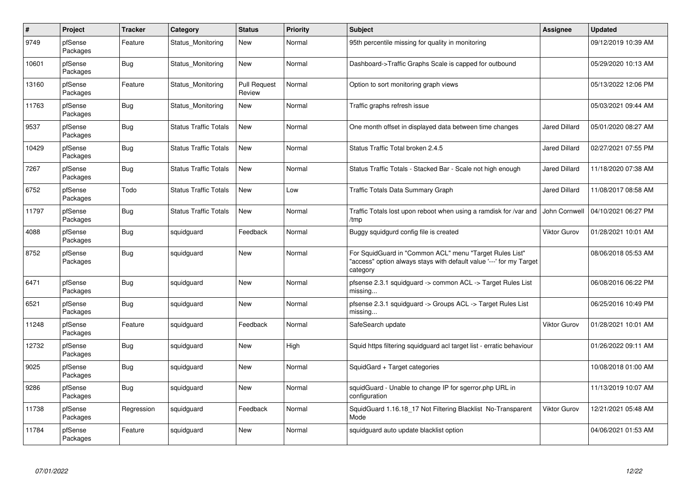| $\#$  | Project             | <b>Tracker</b> | Category                     | <b>Status</b>                 | <b>Priority</b> | <b>Subject</b>                                                                                                                             | <b>Assignee</b>      | <b>Updated</b>      |
|-------|---------------------|----------------|------------------------------|-------------------------------|-----------------|--------------------------------------------------------------------------------------------------------------------------------------------|----------------------|---------------------|
| 9749  | pfSense<br>Packages | Feature        | Status Monitoring            | New                           | Normal          | 95th percentile missing for quality in monitoring                                                                                          |                      | 09/12/2019 10:39 AM |
| 10601 | pfSense<br>Packages | Bug            | Status_Monitoring            | <b>New</b>                    | Normal          | Dashboard->Traffic Graphs Scale is capped for outbound                                                                                     |                      | 05/29/2020 10:13 AM |
| 13160 | pfSense<br>Packages | Feature        | Status Monitoring            | <b>Pull Request</b><br>Review | Normal          | Option to sort monitoring graph views                                                                                                      |                      | 05/13/2022 12:06 PM |
| 11763 | pfSense<br>Packages | <b>Bug</b>     | Status Monitoring            | <b>New</b>                    | Normal          | Traffic graphs refresh issue                                                                                                               |                      | 05/03/2021 09:44 AM |
| 9537  | pfSense<br>Packages | <b>Bug</b>     | <b>Status Traffic Totals</b> | <b>New</b>                    | Normal          | One month offset in displayed data between time changes                                                                                    | <b>Jared Dillard</b> | 05/01/2020 08:27 AM |
| 10429 | pfSense<br>Packages | <b>Bug</b>     | <b>Status Traffic Totals</b> | New                           | Normal          | Status Traffic Total broken 2.4.5                                                                                                          | <b>Jared Dillard</b> | 02/27/2021 07:55 PM |
| 7267  | pfSense<br>Packages | <b>Bug</b>     | <b>Status Traffic Totals</b> | <b>New</b>                    | Normal          | Status Traffic Totals - Stacked Bar - Scale not high enough                                                                                | <b>Jared Dillard</b> | 11/18/2020 07:38 AM |
| 6752  | pfSense<br>Packages | Todo           | <b>Status Traffic Totals</b> | <b>New</b>                    | Low             | Traffic Totals Data Summary Graph                                                                                                          | <b>Jared Dillard</b> | 11/08/2017 08:58 AM |
| 11797 | pfSense<br>Packages | <b>Bug</b>     | <b>Status Traffic Totals</b> | <b>New</b>                    | Normal          | Traffic Totals lost upon reboot when using a ramdisk for /var and<br>/tmp                                                                  | John Cornwell        | 04/10/2021 06:27 PM |
| 4088  | pfSense<br>Packages | Bug            | squidguard                   | Feedback                      | Normal          | Buggy squidgurd config file is created                                                                                                     | <b>Viktor Gurov</b>  | 01/28/2021 10:01 AM |
| 8752  | pfSense<br>Packages | Bug            | squidguard                   | <b>New</b>                    | Normal          | For SquidGuard in "Common ACL" menu "Target Rules List"<br>'access" option always stays with default value '---' for my Target<br>category |                      | 08/06/2018 05:53 AM |
| 6471  | pfSense<br>Packages | Bug            | squidguard                   | <b>New</b>                    | Normal          | pfsense 2.3.1 squidguard -> common ACL -> Target Rules List<br>missing                                                                     |                      | 06/08/2016 06:22 PM |
| 6521  | pfSense<br>Packages | <b>Bug</b>     | squidguard                   | <b>New</b>                    | Normal          | pfsense 2.3.1 squidguard -> Groups ACL -> Target Rules List<br>missing                                                                     |                      | 06/25/2016 10:49 PM |
| 11248 | pfSense<br>Packages | Feature        | squidguard                   | Feedback                      | Normal          | SafeSearch update                                                                                                                          | <b>Viktor Gurov</b>  | 01/28/2021 10:01 AM |
| 12732 | pfSense<br>Packages | <b>Bug</b>     | squidguard                   | New                           | High            | Squid https filtering squidguard acl target list - erratic behaviour                                                                       |                      | 01/26/2022 09:11 AM |
| 9025  | pfSense<br>Packages | Bug            | squidguard                   | <b>New</b>                    | Normal          | SquidGard + Target categories                                                                                                              |                      | 10/08/2018 01:00 AM |
| 9286  | pfSense<br>Packages | Bug            | squidguard                   | <b>New</b>                    | Normal          | squidGuard - Unable to change IP for sgerror.php URL in<br>configuration                                                                   |                      | 11/13/2019 10:07 AM |
| 11738 | pfSense<br>Packages | Regression     | squidguard                   | Feedback                      | Normal          | SquidGuard 1.16.18_17 Not Filtering Blacklist No-Transparent<br>Mode                                                                       | Viktor Gurov         | 12/21/2021 05:48 AM |
| 11784 | pfSense<br>Packages | Feature        | squidguard                   | <b>New</b>                    | Normal          | squidguard auto update blacklist option                                                                                                    |                      | 04/06/2021 01:53 AM |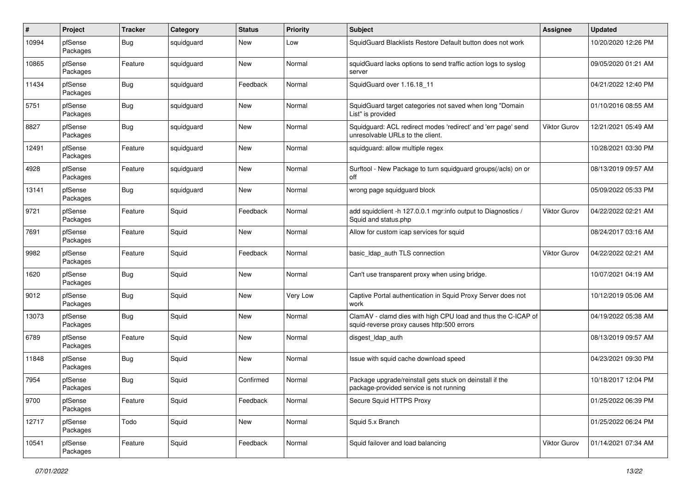| $\#$  | Project             | <b>Tracker</b> | Category   | <b>Status</b> | <b>Priority</b> | <b>Subject</b>                                                                                              | <b>Assignee</b>     | <b>Updated</b>      |
|-------|---------------------|----------------|------------|---------------|-----------------|-------------------------------------------------------------------------------------------------------------|---------------------|---------------------|
| 10994 | pfSense<br>Packages | Bug            | squidguard | New           | Low             | SquidGuard Blacklists Restore Default button does not work                                                  |                     | 10/20/2020 12:26 PM |
| 10865 | pfSense<br>Packages | Feature        | squidguard | <b>New</b>    | Normal          | squidGuard lacks options to send traffic action logs to syslog<br>server                                    |                     | 09/05/2020 01:21 AM |
| 11434 | pfSense<br>Packages | <b>Bug</b>     | squidguard | Feedback      | Normal          | SquidGuard over 1.16.18 11                                                                                  |                     | 04/21/2022 12:40 PM |
| 5751  | pfSense<br>Packages | Bug            | squidguard | <b>New</b>    | Normal          | SquidGuard target categories not saved when long "Domain<br>List" is provided                               |                     | 01/10/2016 08:55 AM |
| 8827  | pfSense<br>Packages | Bug            | squidguard | <b>New</b>    | Normal          | Squidguard: ACL redirect modes 'redirect' and 'err page' send<br>unresolvable URLs to the client.           | Viktor Gurov        | 12/21/2021 05:49 AM |
| 12491 | pfSense<br>Packages | Feature        | squidguard | New           | Normal          | squidguard: allow multiple regex                                                                            |                     | 10/28/2021 03:30 PM |
| 4928  | pfSense<br>Packages | Feature        | squidguard | <b>New</b>    | Normal          | Surftool - New Package to turn squidguard groups(/acls) on or<br>off                                        |                     | 08/13/2019 09:57 AM |
| 13141 | pfSense<br>Packages | Bug            | squidguard | New           | Normal          | wrong page squidguard block                                                                                 |                     | 05/09/2022 05:33 PM |
| 9721  | pfSense<br>Packages | Feature        | Squid      | Feedback      | Normal          | add squidclient -h 127.0.0.1 mgr:info output to Diagnostics /<br>Squid and status.php                       | <b>Viktor Gurov</b> | 04/22/2022 02:21 AM |
| 7691  | pfSense<br>Packages | Feature        | Squid      | <b>New</b>    | Normal          | Allow for custom icap services for squid                                                                    |                     | 08/24/2017 03:16 AM |
| 9982  | pfSense<br>Packages | Feature        | Squid      | Feedback      | Normal          | basic_Idap_auth TLS connection                                                                              | Viktor Gurov        | 04/22/2022 02:21 AM |
| 1620  | pfSense<br>Packages | Bug            | Squid      | <b>New</b>    | Normal          | Can't use transparent proxy when using bridge.                                                              |                     | 10/07/2021 04:19 AM |
| 9012  | pfSense<br>Packages | <b>Bug</b>     | Squid      | <b>New</b>    | Very Low        | Captive Portal authentication in Squid Proxy Server does not<br>work                                        |                     | 10/12/2019 05:06 AM |
| 13073 | pfSense<br>Packages | <b>Bug</b>     | Squid      | <b>New</b>    | Normal          | ClamAV - clamd dies with high CPU load and thus the C-ICAP of<br>squid-reverse proxy causes http:500 errors |                     | 04/19/2022 05:38 AM |
| 6789  | pfSense<br>Packages | Feature        | Squid      | <b>New</b>    | Normal          | disgest_ldap_auth                                                                                           |                     | 08/13/2019 09:57 AM |
| 11848 | pfSense<br>Packages | Bug            | Squid      | <b>New</b>    | Normal          | Issue with squid cache download speed                                                                       |                     | 04/23/2021 09:30 PM |
| 7954  | pfSense<br>Packages | <b>Bug</b>     | Squid      | Confirmed     | Normal          | Package upgrade/reinstall gets stuck on deinstall if the<br>package-provided service is not running         |                     | 10/18/2017 12:04 PM |
| 9700  | pfSense<br>Packages | Feature        | Squid      | Feedback      | Normal          | Secure Squid HTTPS Proxy                                                                                    |                     | 01/25/2022 06:39 PM |
| 12717 | pfSense<br>Packages | Todo           | Squid      | New           | Normal          | Squid 5.x Branch                                                                                            |                     | 01/25/2022 06:24 PM |
| 10541 | pfSense<br>Packages | Feature        | Squid      | Feedback      | Normal          | Squid failover and load balancing                                                                           | <b>Viktor Gurov</b> | 01/14/2021 07:34 AM |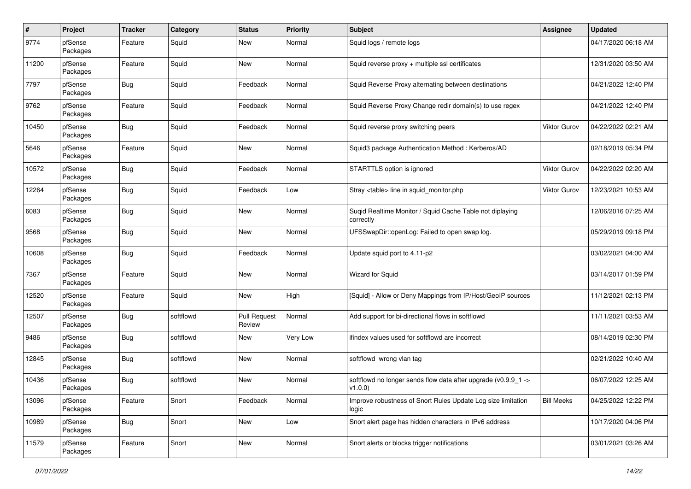| #     | Project             | <b>Tracker</b> | Category  | <b>Status</b>                 | <b>Priority</b> | Subject                                                                  | Assignee            | <b>Updated</b>      |
|-------|---------------------|----------------|-----------|-------------------------------|-----------------|--------------------------------------------------------------------------|---------------------|---------------------|
| 9774  | pfSense<br>Packages | Feature        | Squid     | <b>New</b>                    | Normal          | Squid logs / remote logs                                                 |                     | 04/17/2020 06:18 AM |
| 11200 | pfSense<br>Packages | Feature        | Squid     | <b>New</b>                    | Normal          | Squid reverse proxy + multiple ssl certificates                          |                     | 12/31/2020 03:50 AM |
| 7797  | pfSense<br>Packages | Bug            | Squid     | Feedback                      | Normal          | Squid Reverse Proxy alternating between destinations                     |                     | 04/21/2022 12:40 PM |
| 9762  | pfSense<br>Packages | Feature        | Squid     | Feedback                      | Normal          | Squid Reverse Proxy Change redir domain(s) to use regex                  |                     | 04/21/2022 12:40 PM |
| 10450 | pfSense<br>Packages | Bug            | Squid     | Feedback                      | Normal          | Squid reverse proxy switching peers                                      | Viktor Gurov        | 04/22/2022 02:21 AM |
| 5646  | pfSense<br>Packages | Feature        | Squid     | <b>New</b>                    | Normal          | Squid3 package Authentication Method: Kerberos/AD                        |                     | 02/18/2019 05:34 PM |
| 10572 | pfSense<br>Packages | <b>Bug</b>     | Squid     | Feedback                      | Normal          | STARTTLS option is ignored                                               | <b>Viktor Gurov</b> | 04/22/2022 02:20 AM |
| 12264 | pfSense<br>Packages | Bug            | Squid     | Feedback                      | Low             | Stray <table> line in squid monitor.php</table>                          | <b>Viktor Gurov</b> | 12/23/2021 10:53 AM |
| 6083  | pfSense<br>Packages | Bug            | Squid     | <b>New</b>                    | Normal          | Suqid Realtime Monitor / Squid Cache Table not diplaying<br>correctly    |                     | 12/06/2016 07:25 AM |
| 9568  | pfSense<br>Packages | Bug            | Squid     | <b>New</b>                    | Normal          | UFSSwapDir::openLog: Failed to open swap log.                            |                     | 05/29/2019 09:18 PM |
| 10608 | pfSense<br>Packages | Bug            | Squid     | Feedback                      | Normal          | Update squid port to 4.11-p2                                             |                     | 03/02/2021 04:00 AM |
| 7367  | pfSense<br>Packages | Feature        | Squid     | <b>New</b>                    | Normal          | Wizard for Squid                                                         |                     | 03/14/2017 01:59 PM |
| 12520 | pfSense<br>Packages | Feature        | Squid     | <b>New</b>                    | High            | [Squid] - Allow or Deny Mappings from IP/Host/GeoIP sources              |                     | 11/12/2021 02:13 PM |
| 12507 | pfSense<br>Packages | Bug            | softflowd | <b>Pull Request</b><br>Review | Normal          | Add support for bi-directional flows in softflowd                        |                     | 11/11/2021 03:53 AM |
| 9486  | pfSense<br>Packages | Bug            | softflowd | <b>New</b>                    | Very Low        | ifindex values used for softflowd are incorrect                          |                     | 08/14/2019 02:30 PM |
| 12845 | pfSense<br>Packages | <b>Bug</b>     | softflowd | <b>New</b>                    | Normal          | softflowd wrong vlan tag                                                 |                     | 02/21/2022 10:40 AM |
| 10436 | pfSense<br>Packages | Bug            | softflowd | <b>New</b>                    | Normal          | softflowd no longer sends flow data after upgrade (v0.9.9 1 -><br>v1.0.0 |                     | 06/07/2022 12:25 AM |
| 13096 | pfSense<br>Packages | Feature        | Snort     | Feedback                      | Normal          | Improve robustness of Snort Rules Update Log size limitation<br>logic    | <b>Bill Meeks</b>   | 04/25/2022 12:22 PM |
| 10989 | pfSense<br>Packages | Bug            | Snort     | New                           | Low             | Snort alert page has hidden characters in IPv6 address                   |                     | 10/17/2020 04:06 PM |
| 11579 | pfSense<br>Packages | Feature        | Snort     | New                           | Normal          | Snort alerts or blocks trigger notifications                             |                     | 03/01/2021 03:26 AM |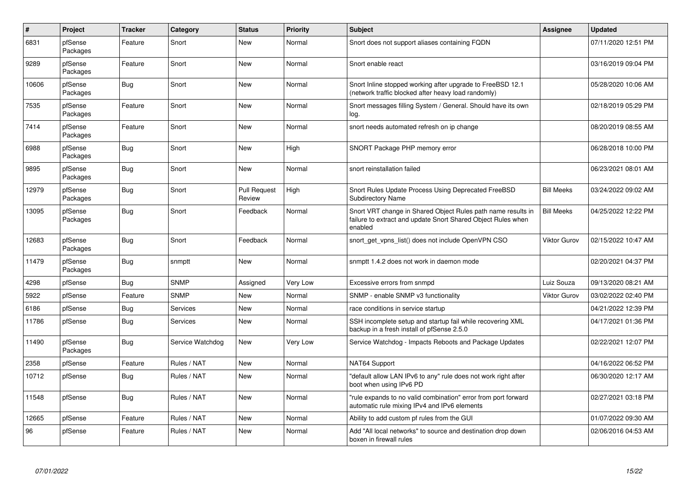| $\#$  | Project             | <b>Tracker</b> | Category         | <b>Status</b>                 | <b>Priority</b> | <b>Subject</b>                                                                                                                          | Assignee            | <b>Updated</b>      |
|-------|---------------------|----------------|------------------|-------------------------------|-----------------|-----------------------------------------------------------------------------------------------------------------------------------------|---------------------|---------------------|
| 6831  | pfSense<br>Packages | Feature        | Snort            | <b>New</b>                    | Normal          | Snort does not support aliases containing FQDN                                                                                          |                     | 07/11/2020 12:51 PM |
| 9289  | pfSense<br>Packages | Feature        | Snort            | New                           | Normal          | Snort enable react                                                                                                                      |                     | 03/16/2019 09:04 PM |
| 10606 | pfSense<br>Packages | Bug            | Snort            | <b>New</b>                    | Normal          | Snort Inline stopped working after upgrade to FreeBSD 12.1<br>(network traffic blocked after heavy load randomly)                       |                     | 05/28/2020 10:06 AM |
| 7535  | pfSense<br>Packages | Feature        | Snort            | <b>New</b>                    | Normal          | Snort messages filling System / General. Should have its own<br>log.                                                                    |                     | 02/18/2019 05:29 PM |
| 7414  | pfSense<br>Packages | Feature        | Snort            | <b>New</b>                    | Normal          | snort needs automated refresh on ip change                                                                                              |                     | 08/20/2019 08:55 AM |
| 6988  | pfSense<br>Packages | Bug            | Snort            | <b>New</b>                    | High            | SNORT Package PHP memory error                                                                                                          |                     | 06/28/2018 10:00 PM |
| 9895  | pfSense<br>Packages | <b>Bug</b>     | Snort            | <b>New</b>                    | Normal          | snort reinstallation failed                                                                                                             |                     | 06/23/2021 08:01 AM |
| 12979 | pfSense<br>Packages | Bug            | Snort            | <b>Pull Request</b><br>Review | High            | Snort Rules Update Process Using Deprecated FreeBSD<br><b>Subdirectory Name</b>                                                         | <b>Bill Meeks</b>   | 03/24/2022 09:02 AM |
| 13095 | pfSense<br>Packages | Bug            | Snort            | Feedback                      | Normal          | Snort VRT change in Shared Object Rules path name results in<br>failure to extract and update Snort Shared Object Rules when<br>enabled | <b>Bill Meeks</b>   | 04/25/2022 12:22 PM |
| 12683 | pfSense<br>Packages | <b>Bug</b>     | Snort            | Feedback                      | Normal          | snort_get_vpns_list() does not include OpenVPN CSO                                                                                      | <b>Viktor Gurov</b> | 02/15/2022 10:47 AM |
| 11479 | pfSense<br>Packages | Bug            | snmptt           | New                           | Normal          | snmptt 1.4.2 does not work in daemon mode                                                                                               |                     | 02/20/2021 04:37 PM |
| 4298  | pfSense             | Bug            | <b>SNMP</b>      | Assigned                      | <b>Very Low</b> | Excessive errors from snmpd                                                                                                             | Luiz Souza          | 09/13/2020 08:21 AM |
| 5922  | pfSense             | Feature        | <b>SNMP</b>      | <b>New</b>                    | Normal          | SNMP - enable SNMP v3 functionality                                                                                                     | <b>Viktor Gurov</b> | 03/02/2022 02:40 PM |
| 6186  | pfSense             | Bug            | Services         | <b>New</b>                    | Normal          | race conditions in service startup                                                                                                      |                     | 04/21/2022 12:39 PM |
| 11786 | pfSense             | Bug            | Services         | <b>New</b>                    | Normal          | SSH incomplete setup and startup fail while recovering XML<br>backup in a fresh install of pfSense 2.5.0                                |                     | 04/17/2021 01:36 PM |
| 11490 | pfSense<br>Packages | Bug            | Service Watchdog | <b>New</b>                    | Very Low        | Service Watchdog - Impacts Reboots and Package Updates                                                                                  |                     | 02/22/2021 12:07 PM |
| 2358  | pfSense             | Feature        | Rules / NAT      | New                           | Normal          | NAT64 Support                                                                                                                           |                     | 04/16/2022 06:52 PM |
| 10712 | pfSense             | Bug            | Rules / NAT      | <b>New</b>                    | Normal          | 'default allow LAN IPv6 to any" rule does not work right after<br>boot when using IPv6 PD                                               |                     | 06/30/2020 12:17 AM |
| 11548 | pfSense             | Bug            | Rules / NAT      | <b>New</b>                    | Normal          | "rule expands to no valid combination" error from port forward<br>automatic rule mixing IPv4 and IPv6 elements                          |                     | 02/27/2021 03:18 PM |
| 12665 | pfSense             | Feature        | Rules / NAT      | <b>New</b>                    | Normal          | Ability to add custom pf rules from the GUI                                                                                             |                     | 01/07/2022 09:30 AM |
| 96    | pfSense             | Feature        | Rules / NAT      | <b>New</b>                    | Normal          | Add "All local networks" to source and destination drop down<br>boxen in firewall rules                                                 |                     | 02/06/2016 04:53 AM |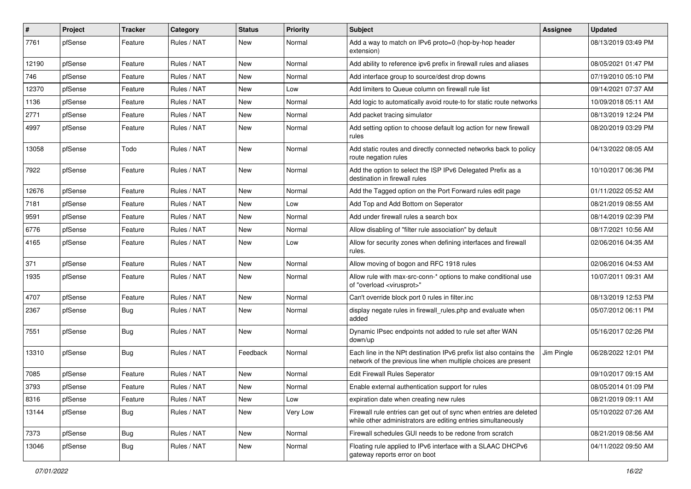| $\pmb{\#}$ | Project | <b>Tracker</b> | Category    | <b>Status</b> | <b>Priority</b> | <b>Subject</b>                                                                                                                        | Assignee   | <b>Updated</b>      |
|------------|---------|----------------|-------------|---------------|-----------------|---------------------------------------------------------------------------------------------------------------------------------------|------------|---------------------|
| 7761       | pfSense | Feature        | Rules / NAT | New           | Normal          | Add a way to match on IPv6 proto=0 (hop-by-hop header<br>extension)                                                                   |            | 08/13/2019 03:49 PM |
| 12190      | pfSense | Feature        | Rules / NAT | New           | Normal          | Add ability to reference ipv6 prefix in firewall rules and aliases                                                                    |            | 08/05/2021 01:47 PM |
| 746        | pfSense | Feature        | Rules / NAT | New           | Normal          | Add interface group to source/dest drop downs                                                                                         |            | 07/19/2010 05:10 PM |
| 12370      | pfSense | Feature        | Rules / NAT | <b>New</b>    | Low             | Add limiters to Queue column on firewall rule list                                                                                    |            | 09/14/2021 07:37 AM |
| 1136       | pfSense | Feature        | Rules / NAT | New           | Normal          | Add logic to automatically avoid route-to for static route networks                                                                   |            | 10/09/2018 05:11 AM |
| 2771       | pfSense | Feature        | Rules / NAT | New           | Normal          | Add packet tracing simulator                                                                                                          |            | 08/13/2019 12:24 PM |
| 4997       | pfSense | Feature        | Rules / NAT | New           | Normal          | Add setting option to choose default log action for new firewall<br>rules                                                             |            | 08/20/2019 03:29 PM |
| 13058      | pfSense | Todo           | Rules / NAT | <b>New</b>    | Normal          | Add static routes and directly connected networks back to policy<br>route negation rules                                              |            | 04/13/2022 08:05 AM |
| 7922       | pfSense | Feature        | Rules / NAT | <b>New</b>    | Normal          | Add the option to select the ISP IPv6 Delegated Prefix as a<br>destination in firewall rules                                          |            | 10/10/2017 06:36 PM |
| 12676      | pfSense | Feature        | Rules / NAT | New           | Normal          | Add the Tagged option on the Port Forward rules edit page                                                                             |            | 01/11/2022 05:52 AM |
| 7181       | pfSense | Feature        | Rules / NAT | New           | Low             | Add Top and Add Bottom on Seperator                                                                                                   |            | 08/21/2019 08:55 AM |
| 9591       | pfSense | Feature        | Rules / NAT | <b>New</b>    | Normal          | Add under firewall rules a search box                                                                                                 |            | 08/14/2019 02:39 PM |
| 6776       | pfSense | Feature        | Rules / NAT | New           | Normal          | Allow disabling of "filter rule association" by default                                                                               |            | 08/17/2021 10:56 AM |
| 4165       | pfSense | Feature        | Rules / NAT | New           | Low             | Allow for security zones when defining interfaces and firewall<br>rules.                                                              |            | 02/06/2016 04:35 AM |
| 371        | pfSense | Feature        | Rules / NAT | New           | Normal          | Allow moving of bogon and RFC 1918 rules                                                                                              |            | 02/06/2016 04:53 AM |
| 1935       | pfSense | Feature        | Rules / NAT | New           | Normal          | Allow rule with max-src-conn-* options to make conditional use<br>of "overload <virusprot>"</virusprot>                               |            | 10/07/2011 09:31 AM |
| 4707       | pfSense | Feature        | Rules / NAT | <b>New</b>    | Normal          | Can't override block port 0 rules in filter.inc                                                                                       |            | 08/13/2019 12:53 PM |
| 2367       | pfSense | Bug            | Rules / NAT | New           | Normal          | display negate rules in firewall rules.php and evaluate when<br>added                                                                 |            | 05/07/2012 06:11 PM |
| 7551       | pfSense | Bug            | Rules / NAT | New           | Normal          | Dynamic IPsec endpoints not added to rule set after WAN<br>down/up                                                                    |            | 05/16/2017 02:26 PM |
| 13310      | pfSense | Bug            | Rules / NAT | Feedback      | Normal          | Each line in the NPt destination IPv6 prefix list also contains the<br>network of the previous line when multiple choices are present | Jim Pingle | 06/28/2022 12:01 PM |
| 7085       | pfSense | Feature        | Rules / NAT | New           | Normal          | Edit Firewall Rules Seperator                                                                                                         |            | 09/10/2017 09:15 AM |
| 3793       | pfSense | Feature        | Rules / NAT | New           | Normal          | Enable external authentication support for rules                                                                                      |            | 08/05/2014 01:09 PM |
| 8316       | pfSense | Feature        | Rules / NAT | New           | Low             | expiration date when creating new rules                                                                                               |            | 08/21/2019 09:11 AM |
| 13144      | pfSense | <b>Bug</b>     | Rules / NAT | New           | Very Low        | Firewall rule entries can get out of sync when entries are deleted<br>while other administrators are editing entries simultaneously   |            | 05/10/2022 07:26 AM |
| 7373       | pfSense | <b>Bug</b>     | Rules / NAT | New           | Normal          | Firewall schedules GUI needs to be redone from scratch                                                                                |            | 08/21/2019 08:56 AM |
| 13046      | pfSense | <b>Bug</b>     | Rules / NAT | New           | Normal          | Floating rule applied to IPv6 interface with a SLAAC DHCPv6<br>gateway reports error on boot                                          |            | 04/11/2022 09:50 AM |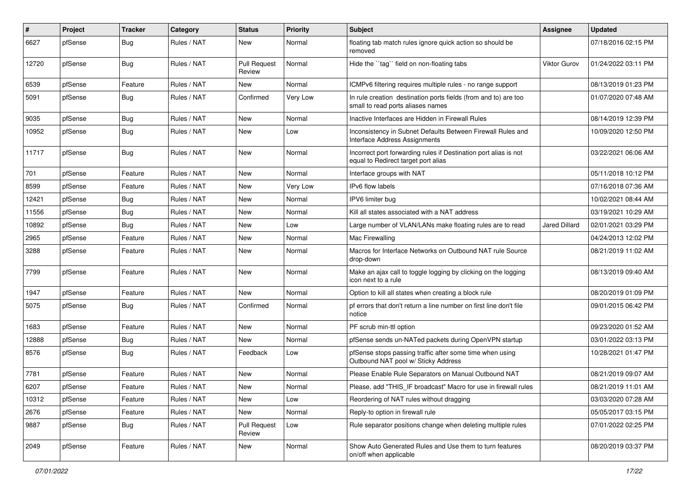| $\sharp$ | Project | <b>Tracker</b> | Category    | <b>Status</b>                 | <b>Priority</b> | <b>Subject</b>                                                                                          | Assignee             | <b>Updated</b>      |
|----------|---------|----------------|-------------|-------------------------------|-----------------|---------------------------------------------------------------------------------------------------------|----------------------|---------------------|
| 6627     | pfSense | Bug            | Rules / NAT | New                           | Normal          | floating tab match rules ignore quick action so should be<br>removed                                    |                      | 07/18/2016 02:15 PM |
| 12720    | pfSense | Bug            | Rules / NAT | <b>Pull Request</b><br>Review | Normal          | Hide the "tag" field on non-floating tabs                                                               | <b>Viktor Gurov</b>  | 01/24/2022 03:11 PM |
| 6539     | pfSense | Feature        | Rules / NAT | New                           | Normal          | ICMPv6 filtering requires multiple rules - no range support                                             |                      | 08/13/2019 01:23 PM |
| 5091     | pfSense | Bug            | Rules / NAT | Confirmed                     | Very Low        | In rule creation destination ports fields (from and to) are too<br>small to read ports aliases names    |                      | 01/07/2020 07:48 AM |
| 9035     | pfSense | Bug            | Rules / NAT | New                           | Normal          | Inactive Interfaces are Hidden in Firewall Rules                                                        |                      | 08/14/2019 12:39 PM |
| 10952    | pfSense | Bug            | Rules / NAT | New                           | Low             | Inconsistency in Subnet Defaults Between Firewall Rules and<br>Interface Address Assignments            |                      | 10/09/2020 12:50 PM |
| 11717    | pfSense | Bug            | Rules / NAT | New                           | Normal          | Incorrect port forwarding rules if Destination port alias is not<br>equal to Redirect target port alias |                      | 03/22/2021 06:06 AM |
| 701      | pfSense | Feature        | Rules / NAT | <b>New</b>                    | Normal          | Interface groups with NAT                                                                               |                      | 05/11/2018 10:12 PM |
| 8599     | pfSense | Feature        | Rules / NAT | New                           | Very Low        | IPv6 flow labels                                                                                        |                      | 07/16/2018 07:36 AM |
| 12421    | pfSense | Bug            | Rules / NAT | New                           | Normal          | IPV6 limiter bug                                                                                        |                      | 10/02/2021 08:44 AM |
| 11556    | pfSense | Bug            | Rules / NAT | <b>New</b>                    | Normal          | Kill all states associated with a NAT address                                                           |                      | 03/19/2021 10:29 AM |
| 10892    | pfSense | Bug            | Rules / NAT | New                           | Low             | Large number of VLAN/LANs make floating rules are to read                                               | <b>Jared Dillard</b> | 02/01/2021 03:29 PM |
| 2965     | pfSense | Feature        | Rules / NAT | <b>New</b>                    | Normal          | Mac Firewalling                                                                                         |                      | 04/24/2013 12:02 PM |
| 3288     | pfSense | Feature        | Rules / NAT | New                           | Normal          | Macros for Interface Networks on Outbound NAT rule Source<br>drop-down                                  |                      | 08/21/2019 11:02 AM |
| 7799     | pfSense | Feature        | Rules / NAT | New                           | Normal          | Make an ajax call to toggle logging by clicking on the logging<br>icon next to a rule                   |                      | 08/13/2019 09:40 AM |
| 1947     | pfSense | Feature        | Rules / NAT | New                           | Normal          | Option to kill all states when creating a block rule                                                    |                      | 08/20/2019 01:09 PM |
| 5075     | pfSense | <b>Bug</b>     | Rules / NAT | Confirmed                     | Normal          | pf errors that don't return a line number on first line don't file<br>notice                            |                      | 09/01/2015 06:42 PM |
| 1683     | pfSense | Feature        | Rules / NAT | New                           | Normal          | PF scrub min-ttl option                                                                                 |                      | 09/23/2020 01:52 AM |
| 12888    | pfSense | <b>Bug</b>     | Rules / NAT | New                           | Normal          | pfSense sends un-NATed packets during OpenVPN startup                                                   |                      | 03/01/2022 03:13 PM |
| 8576     | pfSense | <b>Bug</b>     | Rules / NAT | Feedback                      | Low             | pfSense stops passing traffic after some time when using<br>Outbound NAT pool w/ Sticky Address         |                      | 10/28/2021 01:47 PM |
| 7781     | pfSense | Feature        | Rules / NAT | New                           | Normal          | Please Enable Rule Separators on Manual Outbound NAT                                                    |                      | 08/21/2019 09:07 AM |
| 6207     | pfSense | Feature        | Rules / NAT | New                           | Normal          | Please, add "THIS IF broadcast" Macro for use in firewall rules                                         |                      | 08/21/2019 11:01 AM |
| 10312    | pfSense | Feature        | Rules / NAT | New                           | Low             | Reordering of NAT rules without dragging                                                                |                      | 03/03/2020 07:28 AM |
| 2676     | pfSense | Feature        | Rules / NAT | New                           | Normal          | Reply-to option in firewall rule                                                                        |                      | 05/05/2017 03:15 PM |
| 9887     | pfSense | <b>Bug</b>     | Rules / NAT | Pull Request<br>Review        | Low             | Rule separator positions change when deleting multiple rules                                            |                      | 07/01/2022 02:25 PM |
| 2049     | pfSense | Feature        | Rules / NAT | New                           | Normal          | Show Auto Generated Rules and Use them to turn features<br>on/off when applicable                       |                      | 08/20/2019 03:37 PM |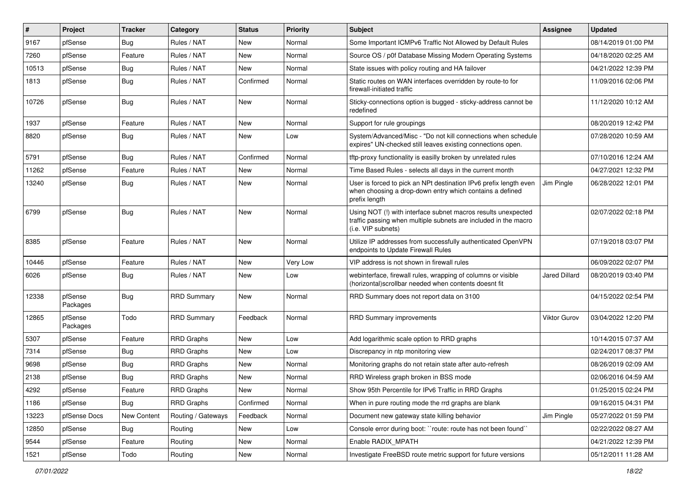| ∦     | Project             | <b>Tracker</b> | Category           | <b>Status</b> | <b>Priority</b> | <b>Subject</b>                                                                                                                                         | Assignee             | <b>Updated</b>      |
|-------|---------------------|----------------|--------------------|---------------|-----------------|--------------------------------------------------------------------------------------------------------------------------------------------------------|----------------------|---------------------|
| 9167  | pfSense             | Bug            | Rules / NAT        | New           | Normal          | Some Important ICMPv6 Traffic Not Allowed by Default Rules                                                                                             |                      | 08/14/2019 01:00 PM |
| 7260  | pfSense             | Feature        | Rules / NAT        | New           | Normal          | Source OS / p0f Database Missing Modern Operating Systems                                                                                              |                      | 04/18/2020 02:25 AM |
| 10513 | pfSense             | Bug            | Rules / NAT        | <b>New</b>    | Normal          | State issues with policy routing and HA failover                                                                                                       |                      | 04/21/2022 12:39 PM |
| 1813  | pfSense             | Bug            | Rules / NAT        | Confirmed     | Normal          | Static routes on WAN interfaces overridden by route-to for<br>firewall-initiated traffic                                                               |                      | 11/09/2016 02:06 PM |
| 10726 | pfSense             | Bug            | Rules / NAT        | New           | Normal          | Sticky-connections option is bugged - sticky-address cannot be<br>redefined                                                                            |                      | 11/12/2020 10:12 AM |
| 1937  | pfSense             | Feature        | Rules / NAT        | New           | Normal          | Support for rule groupings                                                                                                                             |                      | 08/20/2019 12:42 PM |
| 8820  | pfSense             | Bug            | Rules / NAT        | New           | Low             | System/Advanced/Misc - "Do not kill connections when schedule<br>expires" UN-checked still leaves existing connections open.                           |                      | 07/28/2020 10:59 AM |
| 5791  | pfSense             | Bug            | Rules / NAT        | Confirmed     | Normal          | tftp-proxy functionality is easilly broken by unrelated rules                                                                                          |                      | 07/10/2016 12:24 AM |
| 11262 | pfSense             | Feature        | Rules / NAT        | New           | Normal          | Time Based Rules - selects all days in the current month                                                                                               |                      | 04/27/2021 12:32 PM |
| 13240 | pfSense             | Bug            | Rules / NAT        | New           | Normal          | User is forced to pick an NPt destination IPv6 prefix length even<br>when choosing a drop-down entry which contains a defined<br>prefix length         | Jim Pingle           | 06/28/2022 12:01 PM |
| 6799  | pfSense             | Bug            | Rules / NAT        | <b>New</b>    | Normal          | Using NOT (!) with interface subnet macros results unexpected<br>traffic passing when multiple subnets are included in the macro<br>(i.e. VIP subnets) |                      | 02/07/2022 02:18 PM |
| 8385  | pfSense             | Feature        | Rules / NAT        | New           | Normal          | Utilize IP addresses from successfully authenticated OpenVPN<br>endpoints to Update Firewall Rules                                                     |                      | 07/19/2018 03:07 PM |
| 10446 | pfSense             | Feature        | Rules / NAT        | New           | <b>Very Low</b> | VIP address is not shown in firewall rules                                                                                                             |                      | 06/09/2022 02:07 PM |
| 6026  | pfSense             | Bug            | Rules / NAT        | New           | Low             | webinterface, firewall rules, wrapping of columns or visible<br>(horizontal) scrollbar needed when contents doesnt fit                                 | <b>Jared Dillard</b> | 08/20/2019 03:40 PM |
| 12338 | pfSense<br>Packages | <b>Bug</b>     | <b>RRD Summary</b> | New           | Normal          | RRD Summary does not report data on 3100                                                                                                               |                      | 04/15/2022 02:54 PM |
| 12865 | pfSense<br>Packages | Todo           | <b>RRD Summary</b> | Feedback      | Normal          | <b>RRD Summary improvements</b>                                                                                                                        | <b>Viktor Gurov</b>  | 03/04/2022 12:20 PM |
| 5307  | pfSense             | Feature        | RRD Graphs         | New           | Low             | Add logarithmic scale option to RRD graphs                                                                                                             |                      | 10/14/2015 07:37 AM |
| 7314  | pfSense             | Bug            | <b>RRD Graphs</b>  | New           | Low             | Discrepancy in ntp monitoring view                                                                                                                     |                      | 02/24/2017 08:37 PM |
| 9698  | pfSense             | <b>Bug</b>     | <b>RRD</b> Graphs  | New           | Normal          | Monitoring graphs do not retain state after auto-refresh                                                                                               |                      | 08/26/2019 02:09 AM |
| 2138  | pfSense             | Bug            | <b>RRD Graphs</b>  | New           | Normal          | RRD Wireless graph broken in BSS mode                                                                                                                  |                      | 02/06/2016 04:59 AM |
| 4292  | pfSense             | Feature        | RRD Graphs         | New           | Normal          | Show 95th Percentile for IPv6 Traffic in RRD Graphs                                                                                                    |                      | 01/25/2015 02:24 PM |
| 1186  | pfSense             | Bug            | <b>RRD Graphs</b>  | Confirmed     | Normal          | When in pure routing mode the rrd graphs are blank                                                                                                     |                      | 09/16/2015 04:31 PM |
| 13223 | pfSense Docs        | New Content    | Routing / Gateways | Feedback      | Normal          | Document new gateway state killing behavior                                                                                                            | Jim Pingle           | 05/27/2022 01:59 PM |
| 12850 | pfSense             | <b>Bug</b>     | Routing            | New           | Low             | Console error during boot: "route: route has not been found"                                                                                           |                      | 02/22/2022 08:27 AM |
| 9544  | pfSense             | Feature        | Routing            | New           | Normal          | Enable RADIX_MPATH                                                                                                                                     |                      | 04/21/2022 12:39 PM |
| 1521  | pfSense             | Todo           | Routing            | New           | Normal          | Investigate FreeBSD route metric support for future versions                                                                                           |                      | 05/12/2011 11:28 AM |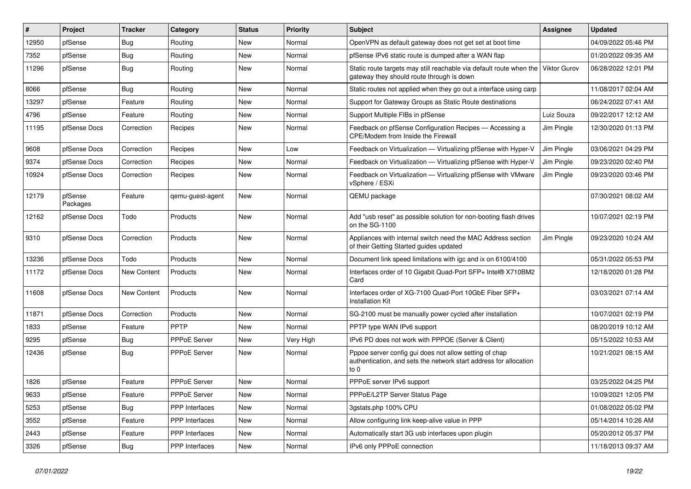| $\vert$ # | Project             | <b>Tracker</b> | Category              | <b>Status</b> | <b>Priority</b> | <b>Subject</b>                                                                                                                      | Assignee   | <b>Updated</b>      |
|-----------|---------------------|----------------|-----------------------|---------------|-----------------|-------------------------------------------------------------------------------------------------------------------------------------|------------|---------------------|
| 12950     | pfSense             | Bug            | Routing               | <b>New</b>    | Normal          | OpenVPN as default gateway does not get set at boot time                                                                            |            | 04/09/2022 05:46 PM |
| 7352      | pfSense             | <b>Bug</b>     | Routing               | New           | Normal          | pfSense IPv6 static route is dumped after a WAN flap                                                                                |            | 01/20/2022 09:35 AM |
| 11296     | pfSense             | Bug            | Routing               | New           | Normal          | Static route targets may still reachable via default route when the   Viktor Gurov<br>gateway they should route through is down     |            | 06/28/2022 12:01 PM |
| 8066      | pfSense             | Bug            | Routing               | <b>New</b>    | Normal          | Static routes not applied when they go out a interface using carp                                                                   |            | 11/08/2017 02:04 AM |
| 13297     | pfSense             | Feature        | Routing               | New           | Normal          | Support for Gateway Groups as Static Route destinations                                                                             |            | 06/24/2022 07:41 AM |
| 4796      | pfSense             | Feature        | Routing               | New           | Normal          | Support Multiple FIBs in pfSense                                                                                                    | Luiz Souza | 09/22/2017 12:12 AM |
| 11195     | pfSense Docs        | Correction     | Recipes               | New           | Normal          | Feedback on pfSense Configuration Recipes - Accessing a<br><b>CPE/Modem from Inside the Firewall</b>                                | Jim Pingle | 12/30/2020 01:13 PM |
| 9608      | pfSense Docs        | Correction     | Recipes               | <b>New</b>    | Low             | Feedback on Virtualization - Virtualizing pfSense with Hyper-V                                                                      | Jim Pingle | 03/06/2021 04:29 PM |
| 9374      | pfSense Docs        | Correction     | Recipes               | <b>New</b>    | Normal          | Feedback on Virtualization - Virtualizing pfSense with Hyper-V                                                                      | Jim Pingle | 09/23/2020 02:40 PM |
| 10924     | pfSense Docs        | Correction     | Recipes               | New           | Normal          | Feedback on Virtualization - Virtualizing pfSense with VMware<br>vSphere / ESXi                                                     | Jim Pingle | 09/23/2020 03:46 PM |
| 12179     | pfSense<br>Packages | Feature        | qemu-guest-agent      | New           | Normal          | QEMU package                                                                                                                        |            | 07/30/2021 08:02 AM |
| 12162     | pfSense Docs        | Todo           | Products              | <b>New</b>    | Normal          | Add "usb reset" as possible solution for non-booting flash drives<br>on the SG-1100                                                 |            | 10/07/2021 02:19 PM |
| 9310      | pfSense Docs        | Correction     | Products              | <b>New</b>    | Normal          | Appliances with internal switch need the MAC Address section<br>of their Getting Started guides updated                             | Jim Pingle | 09/23/2020 10:24 AM |
| 13236     | pfSense Docs        | Todo           | Products              | New           | Normal          | Document link speed limitations with igc and ix on 6100/4100                                                                        |            | 05/31/2022 05:53 PM |
| 11172     | pfSense Docs        | New Content    | Products              | New           | Normal          | Interfaces order of 10 Gigabit Quad-Port SFP+ Intel® X710BM2<br>Card                                                                |            | 12/18/2020 01:28 PM |
| 11608     | pfSense Docs        | New Content    | Products              | <b>New</b>    | Normal          | Interfaces order of XG-7100 Quad-Port 10GbE Fiber SFP+<br><b>Installation Kit</b>                                                   |            | 03/03/2021 07:14 AM |
| 11871     | pfSense Docs        | Correction     | Products              | <b>New</b>    | Normal          | SG-2100 must be manually power cycled after installation                                                                            |            | 10/07/2021 02:19 PM |
| 1833      | pfSense             | Feature        | <b>PPTP</b>           | <b>New</b>    | Normal          | PPTP type WAN IPv6 support                                                                                                          |            | 08/20/2019 10:12 AM |
| 9295      | pfSense             | <b>Bug</b>     | <b>PPPoE Server</b>   | <b>New</b>    | Very High       | IPv6 PD does not work with PPPOE (Server & Client)                                                                                  |            | 05/15/2022 10:53 AM |
| 12436     | pfSense             | Bug            | <b>PPPoE Server</b>   | <b>New</b>    | Normal          | Pppoe server config gui does not allow setting of chap<br>authentication, and sets the network start address for allocation<br>to 0 |            | 10/21/2021 08:15 AM |
| 1826      | pfSense             | Feature        | <b>PPPoE Server</b>   | <b>New</b>    | Normal          | PPPoE server IPv6 support                                                                                                           |            | 03/25/2022 04:25 PM |
| 9633      | pfSense             | Feature        | <b>PPPoE Server</b>   | <b>New</b>    | Normal          | PPPoE/L2TP Server Status Page                                                                                                       |            | 10/09/2021 12:05 PM |
| 5253      | pfSense             | Bug            | <b>PPP</b> Interfaces | New           | Normal          | 3gstats.php 100% CPU                                                                                                                |            | 01/08/2022 05:02 PM |
| 3552      | pfSense             | Feature        | PPP Interfaces        | New           | Normal          | Allow configuring link keep-alive value in PPP                                                                                      |            | 05/14/2014 10:26 AM |
| 2443      | pfSense             | Feature        | <b>PPP</b> Interfaces | <b>New</b>    | Normal          | Automatically start 3G usb interfaces upon plugin                                                                                   |            | 05/20/2012 05:37 PM |
| 3326      | pfSense             | Bug            | <b>PPP</b> Interfaces | New           | Normal          | IPv6 only PPPoE connection                                                                                                          |            | 11/18/2013 09:37 AM |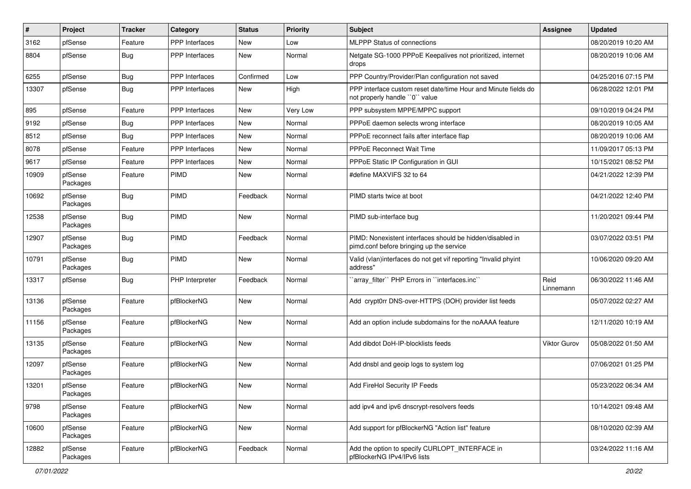| #     | Project             | <b>Tracker</b> | Category              | <b>Status</b> | <b>Priority</b> | Subject                                                                                               | <b>Assignee</b>   | <b>Updated</b>      |
|-------|---------------------|----------------|-----------------------|---------------|-----------------|-------------------------------------------------------------------------------------------------------|-------------------|---------------------|
| 3162  | pfSense             | Feature        | PPP Interfaces        | New           | Low             | <b>MLPPP Status of connections</b>                                                                    |                   | 08/20/2019 10:20 AM |
| 8804  | pfSense             | Bug            | <b>PPP</b> Interfaces | New           | Normal          | Netgate SG-1000 PPPoE Keepalives not prioritized, internet<br>drops                                   |                   | 08/20/2019 10:06 AM |
| 6255  | pfSense             | Bug            | <b>PPP</b> Interfaces | Confirmed     | Low             | PPP Country/Provider/Plan configuration not saved                                                     |                   | 04/25/2016 07:15 PM |
| 13307 | pfSense             | <b>Bug</b>     | PPP Interfaces        | New           | High            | PPP interface custom reset date/time Hour and Minute fields do<br>not properly handle "0" value       |                   | 06/28/2022 12:01 PM |
| 895   | pfSense             | Feature        | <b>PPP</b> Interfaces | New           | Very Low        | PPP subsystem MPPE/MPPC support                                                                       |                   | 09/10/2019 04:24 PM |
| 9192  | pfSense             | Bug            | <b>PPP</b> Interfaces | <b>New</b>    | Normal          | PPPoE daemon selects wrong interface                                                                  |                   | 08/20/2019 10:05 AM |
| 8512  | pfSense             | Bug            | <b>PPP</b> Interfaces | New           | Normal          | PPPoE reconnect fails after interface flap                                                            |                   | 08/20/2019 10:06 AM |
| 8078  | pfSense             | Feature        | <b>PPP</b> Interfaces | <b>New</b>    | Normal          | <b>PPPoE Reconnect Wait Time</b>                                                                      |                   | 11/09/2017 05:13 PM |
| 9617  | pfSense             | Feature        | PPP Interfaces        | New           | Normal          | PPPoE Static IP Configuration in GUI                                                                  |                   | 10/15/2021 08:52 PM |
| 10909 | pfSense<br>Packages | Feature        | <b>PIMD</b>           | New           | Normal          | #define MAXVIFS 32 to 64                                                                              |                   | 04/21/2022 12:39 PM |
| 10692 | pfSense<br>Packages | Bug            | PIMD                  | Feedback      | Normal          | PIMD starts twice at boot                                                                             |                   | 04/21/2022 12:40 PM |
| 12538 | pfSense<br>Packages | <b>Bug</b>     | PIMD                  | <b>New</b>    | Normal          | PIMD sub-interface bug                                                                                |                   | 11/20/2021 09:44 PM |
| 12907 | pfSense<br>Packages | <b>Bug</b>     | <b>PIMD</b>           | Feedback      | Normal          | PIMD: Nonexistent interfaces should be hidden/disabled in<br>pimd.conf before bringing up the service |                   | 03/07/2022 03:51 PM |
| 10791 | pfSense<br>Packages | <b>Bug</b>     | <b>PIMD</b>           | New           | Normal          | Valid (vlan)interfaces do not get vif reporting "Invalid phyint<br>address"                           |                   | 10/06/2020 09:20 AM |
| 13317 | pfSense             | <b>Bug</b>     | PHP Interpreter       | Feedback      | Normal          | 'array_filter'' PHP Errors in ''interfaces.inc''                                                      | Reid<br>Linnemann | 06/30/2022 11:46 AM |
| 13136 | pfSense<br>Packages | Feature        | pfBlockerNG           | New           | Normal          | Add crypt0rr DNS-over-HTTPS (DOH) provider list feeds                                                 |                   | 05/07/2022 02:27 AM |
| 11156 | pfSense<br>Packages | Feature        | pfBlockerNG           | New           | Normal          | Add an option include subdomains for the noAAAA feature                                               |                   | 12/11/2020 10:19 AM |
| 13135 | pfSense<br>Packages | Feature        | pfBlockerNG           | New           | Normal          | Add dibdot DoH-IP-blocklists feeds                                                                    | Viktor Gurov      | 05/08/2022 01:50 AM |
| 12097 | pfSense<br>Packages | Feature        | pfBlockerNG           | <b>New</b>    | Normal          | Add dnsbl and geoip logs to system log                                                                |                   | 07/06/2021 01:25 PM |
| 13201 | pfSense<br>Packages | Feature        | pfBlockerNG           | New           | Normal          | Add FireHol Security IP Feeds                                                                         |                   | 05/23/2022 06:34 AM |
| 9798  | pfSense<br>Packages | Feature        | pfBlockerNG           | New           | Normal          | add ipv4 and ipv6 dnscrypt-resolvers feeds                                                            |                   | 10/14/2021 09:48 AM |
| 10600 | pfSense<br>Packages | Feature        | pfBlockerNG           | New           | Normal          | Add support for pfBlockerNG "Action list" feature                                                     |                   | 08/10/2020 02:39 AM |
| 12882 | pfSense<br>Packages | Feature        | pfBlockerNG           | Feedback      | Normal          | Add the option to specify CURLOPT_INTERFACE in<br>pfBlockerNG IPv4/IPv6 lists                         |                   | 03/24/2022 11:16 AM |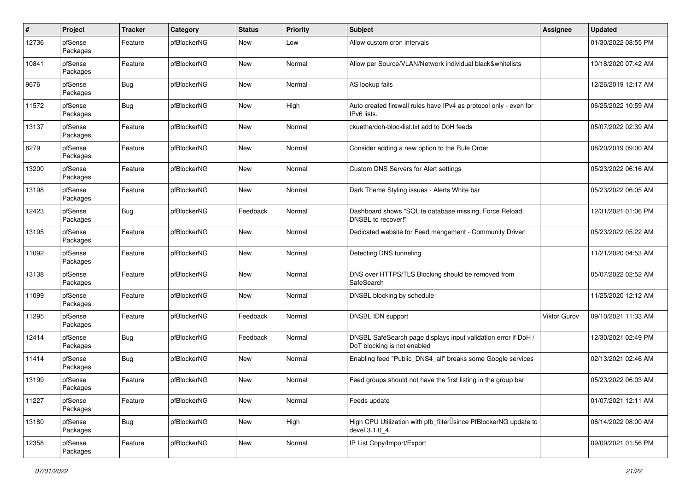| #     | Project             | <b>Tracker</b> | Category    | <b>Status</b> | <b>Priority</b> | <b>Subject</b>                                                                                  | <b>Assignee</b>     | <b>Updated</b>      |
|-------|---------------------|----------------|-------------|---------------|-----------------|-------------------------------------------------------------------------------------------------|---------------------|---------------------|
| 12736 | pfSense<br>Packages | Feature        | pfBlockerNG | <b>New</b>    | Low             | Allow custom cron intervals                                                                     |                     | 01/30/2022 08:55 PM |
| 10841 | pfSense<br>Packages | Feature        | pfBlockerNG | <b>New</b>    | Normal          | Allow per Source/VLAN/Network individual black&whitelists                                       |                     | 10/18/2020 07:42 AM |
| 9676  | pfSense<br>Packages | Bug            | pfBlockerNG | <b>New</b>    | Normal          | AS lookup fails                                                                                 |                     | 12/26/2019 12:17 AM |
| 11572 | pfSense<br>Packages | Bug            | pfBlockerNG | <b>New</b>    | High            | Auto created firewall rules have IPv4 as protocol only - even for<br>IPv6 lists.                |                     | 06/25/2022 10:59 AM |
| 13137 | pfSense<br>Packages | Feature        | pfBlockerNG | <b>New</b>    | Normal          | ckuethe/doh-blocklist.txt add to DoH feeds                                                      |                     | 05/07/2022 02:39 AM |
| 8279  | pfSense<br>Packages | Feature        | pfBlockerNG | <b>New</b>    | Normal          | Consider adding a new option to the Rule Order                                                  |                     | 08/20/2019 09:00 AM |
| 13200 | pfSense<br>Packages | Feature        | pfBlockerNG | <b>New</b>    | Normal          | Custom DNS Servers for Alert settings                                                           |                     | 05/23/2022 06:16 AM |
| 13198 | pfSense<br>Packages | Feature        | pfBlockerNG | <b>New</b>    | Normal          | Dark Theme Styling issues - Alerts White bar                                                    |                     | 05/23/2022 06:05 AM |
| 12423 | pfSense<br>Packages | Bug            | pfBlockerNG | Feedback      | Normal          | Dashboard shows "SQLite database missing, Force Reload<br>DNSBL to recover!"                    |                     | 12/31/2021 01:06 PM |
| 13195 | pfSense<br>Packages | Feature        | pfBlockerNG | <b>New</b>    | Normal          | Dedicated website for Feed mangement - Community Driven                                         |                     | 05/23/2022 05:22 AM |
| 11092 | pfSense<br>Packages | Feature        | pfBlockerNG | <b>New</b>    | Normal          | Detecting DNS tunneling                                                                         |                     | 11/21/2020 04:53 AM |
| 13138 | pfSense<br>Packages | Feature        | pfBlockerNG | <b>New</b>    | Normal          | DNS over HTTPS/TLS Blocking should be removed from<br>SafeSearch                                |                     | 05/07/2022 02:52 AM |
| 11099 | pfSense<br>Packages | Feature        | pfBlockerNG | <b>New</b>    | Normal          | DNSBL blocking by schedule                                                                      |                     | 11/25/2020 12:12 AM |
| 11295 | pfSense<br>Packages | Feature        | pfBlockerNG | Feedback      | Normal          | DNSBL IDN support                                                                               | <b>Viktor Gurov</b> | 09/10/2021 11:33 AM |
| 12414 | pfSense<br>Packages | Bug            | pfBlockerNG | Feedback      | Normal          | DNSBL SafeSearch page displays input validation error if DoH /<br>DoT blocking is not enabled   |                     | 12/30/2021 02:49 PM |
| 11414 | pfSense<br>Packages | Bug            | pfBlockerNG | <b>New</b>    | Normal          | Enabling feed "Public_DNS4_all" breaks some Google services                                     |                     | 02/13/2021 02:46 AM |
| 13199 | pfSense<br>Packages | Feature        | pfBlockerNG | <b>New</b>    | Normal          | Feed groups should not have the first listing in the group bar                                  |                     | 05/23/2022 06:03 AM |
| 11227 | pfSense<br>Packages | Feature        | pfBlockerNG | New           | Normal          | Feeds update                                                                                    |                     | 01/07/2021 12:11 AM |
| 13180 | pfSense<br>Packages | <b>Bug</b>     | pfBlockerNG | New           | High            | High CPU Utilization with pfb_filter <sup>[]</sup> since PfBlockerNG update to<br>devel 3.1.0 4 |                     | 06/14/2022 08:00 AM |
| 12358 | pfSense<br>Packages | Feature        | pfBlockerNG | New           | Normal          | IP List Copy/Import/Export                                                                      |                     | 09/09/2021 01:56 PM |